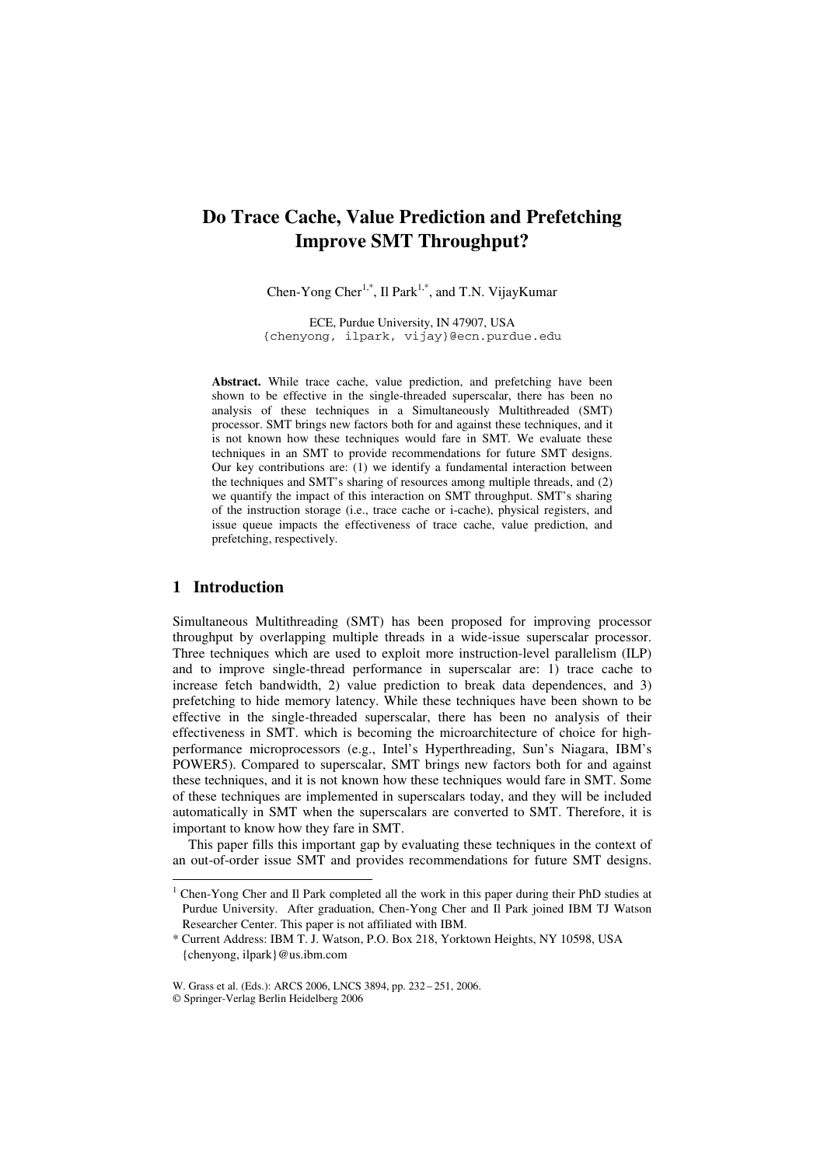# **Do Trace Cache, Value Prediction and Prefetching Improve SMT Throughput?**

Chen-Yong Cher<sup>1,\*</sup>, Il Park<sup>1,\*</sup>, and T.N. VijayKumar

ECE, Purdue University, IN 47907, USA {chenyong, ilpark, vijay}@ecn.purdue.edu

Abstract. While trace cache, value prediction, and prefetching have been shown to be effective in the single-threaded superscalar, there has been no analysis of these techniques in a Simultaneously Multithreaded (SMT) processor. SMT brings new factors both for and against these techniques, and it is not known how these techniques would fare in SMT. We evaluate these techniques in an SMT to provide recommendations for future SMT designs. Our key contributions are: (1) we identify a fundamental interaction between the techniques and SMT's sharing of resources among multiple threads, and (2) we quantify the impact of this interaction on SMT throughput. SMT's sharing of the instruction storage (i.e., trace cache or i-cache), physical registers, and issue queue impacts the effectiveness of trace cache, value prediction, and prefetching, respectively.

# **1 Introduction**

j

Simultaneous Multithreading (SMT) has been proposed for improving processor throughput by overlapping multiple threads in a wide-issue superscalar processor. Three techniques which are used to exploit more instruction-level parallelism (ILP) and to improve single-thread performance in superscalar are: 1) trace cache to increase fetch bandwidth, 2) value prediction to break data dependences, and 3) prefetching to hide memory latency. While these techniques have been shown to be effective in the single-threaded superscalar, there has been no analysis of their effectiveness in SMT. which is becoming the microarchitecture of choice for highperformance microprocessors (e.g., Intel's Hyperthreading, Sun's Niagara, IBM's POWER5). Compared to superscalar, SMT brings new factors both for and against these techniques, and it is not known how these techniques would fare in SMT. Some of these techniques are implemented in superscalars today, and they will be included automatically in SMT when the superscalars are converted to SMT. Therefore, it is important to know how they fare in SMT.

This paper fills this important gap by evaluating these techniques in the context of an out-of-order issue SMT and provides recommendations for future SMT designs.

W. Grass et al. (Eds.): ARCS 2006, LNCS 3894, pp. 232 – 251, 2006.

<sup>&</sup>lt;sup>1</sup> Chen-Yong Cher and Il Park completed all the work in this paper during their PhD studies at Purdue University. After graduation, Chen-Yong Cher and Il Park joined IBM TJ Watson Researcher Center. This paper is not affiliated with IBM.

<sup>\*</sup> Current Address: IBM T. J. Watson, P.O. Box 218, Yorktown Heights, NY 10598, USA {chenyong, ilpark}@us.ibm.com

<sup>©</sup> Springer-Verlag Berlin Heidelberg 2006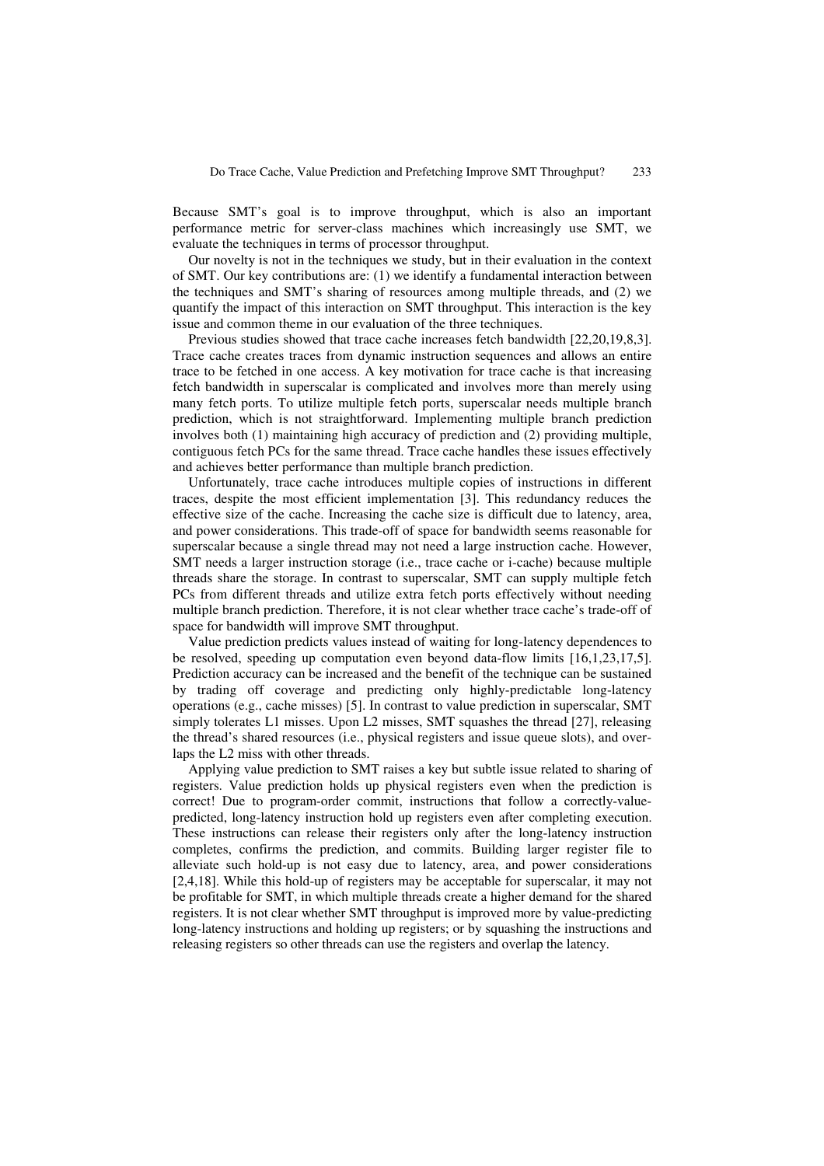Because SMT's goal is to improve throughput, which is also an important performance metric for server-class machines which increasingly use SMT, we evaluate the techniques in terms of processor throughput.

Our novelty is not in the techniques we study, but in their evaluation in the context of SMT. Our key contributions are: (1) we identify a fundamental interaction between the techniques and SMT's sharing of resources among multiple threads, and (2) we quantify the impact of this interaction on SMT throughput. This interaction is the key issue and common theme in our evaluation of the three techniques.

Previous studies showed that trace cache increases fetch bandwidth [22,20,19,8,3]. Trace cache creates traces from dynamic instruction sequences and allows an entire trace to be fetched in one access. A key motivation for trace cache is that increasing fetch bandwidth in superscalar is complicated and involves more than merely using many fetch ports. To utilize multiple fetch ports, superscalar needs multiple branch prediction, which is not straightforward. Implementing multiple branch prediction involves both (1) maintaining high accuracy of prediction and (2) providing multiple, contiguous fetch PCs for the same thread. Trace cache handles these issues effectively and achieves better performance than multiple branch prediction.

Unfortunately, trace cache introduces multiple copies of instructions in different traces, despite the most efficient implementation [3]. This redundancy reduces the effective size of the cache. Increasing the cache size is difficult due to latency, area, and power considerations. This trade-off of space for bandwidth seems reasonable for superscalar because a single thread may not need a large instruction cache. However, SMT needs a larger instruction storage (i.e., trace cache or i-cache) because multiple threads share the storage. In contrast to superscalar, SMT can supply multiple fetch PCs from different threads and utilize extra fetch ports effectively without needing multiple branch prediction. Therefore, it is not clear whether trace cache's trade-off of space for bandwidth will improve SMT throughput.

Value prediction predicts values instead of waiting for long-latency dependences to be resolved, speeding up computation even beyond data-flow limits [16,1,23,17,5]. Prediction accuracy can be increased and the benefit of the technique can be sustained by trading off coverage and predicting only highly-predictable long-latency operations (e.g., cache misses) [5]. In contrast to value prediction in superscalar, SMT simply tolerates L1 misses. Upon L2 misses, SMT squashes the thread [27], releasing the thread's shared resources (i.e., physical registers and issue queue slots), and overlaps the L2 miss with other threads.

Applying value prediction to SMT raises a key but subtle issue related to sharing of registers. Value prediction holds up physical registers even when the prediction is correct! Due to program-order commit, instructions that follow a correctly-valuepredicted, long-latency instruction hold up registers even after completing execution. These instructions can release their registers only after the long-latency instruction completes, confirms the prediction, and commits. Building larger register file to alleviate such hold-up is not easy due to latency, area, and power considerations [2,4,18]. While this hold-up of registers may be acceptable for superscalar, it may not be profitable for SMT, in which multiple threads create a higher demand for the shared registers. It is not clear whether SMT throughput is improved more by value-predicting long-latency instructions and holding up registers; or by squashing the instructions and releasing registers so other threads can use the registers and overlap the latency.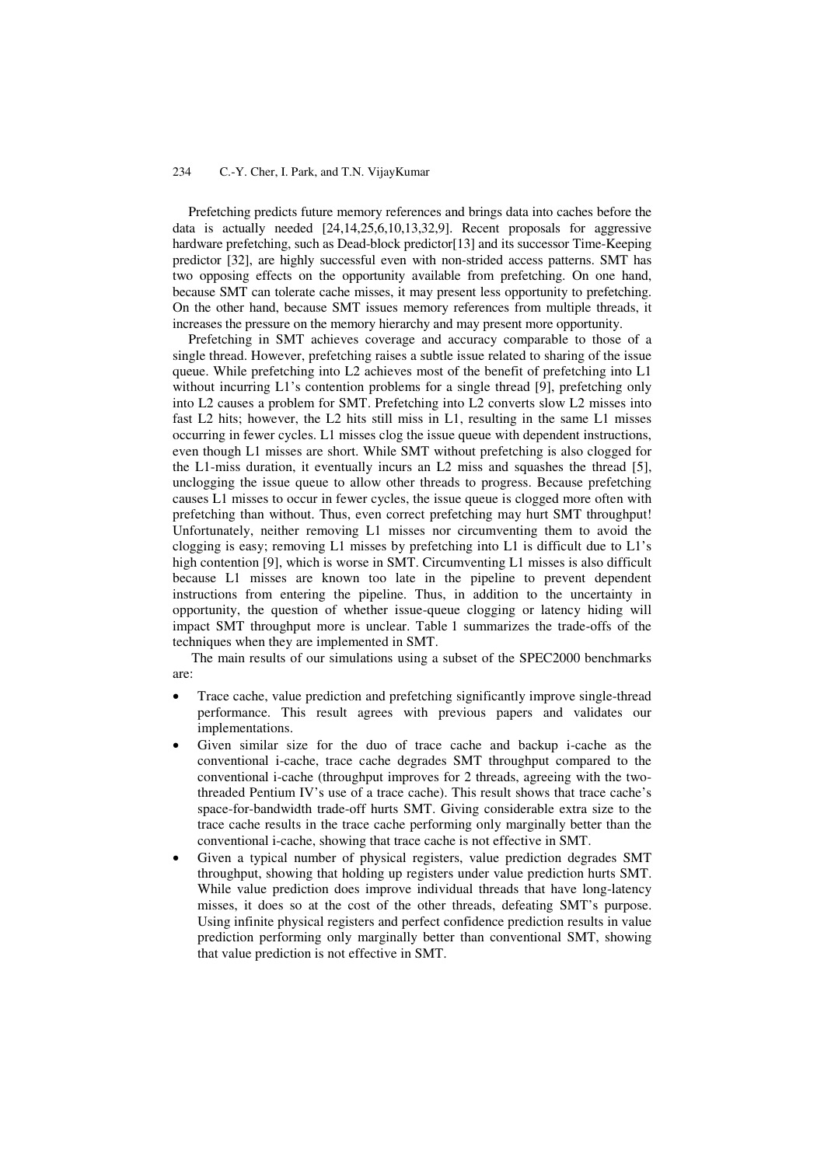Prefetching predicts future memory references and brings data into caches before the data is actually needed [24,14,25,6,10,13,32,9]. Recent proposals for aggressive hardware prefetching, such as Dead-block predictor<sup>[13]</sup> and its successor Time-Keeping predictor [32], are highly successful even with non-strided access patterns. SMT has two opposing effects on the opportunity available from prefetching. On one hand, because SMT can tolerate cache misses, it may present less opportunity to prefetching. On the other hand, because SMT issues memory references from multiple threads, it increases the pressure on the memory hierarchy and may present more opportunity.

Prefetching in SMT achieves coverage and accuracy comparable to those of a single thread. However, prefetching raises a subtle issue related to sharing of the issue queue. While prefetching into L2 achieves most of the benefit of prefetching into L1 without incurring L1's contention problems for a single thread [9], prefetching only into L2 causes a problem for SMT. Prefetching into L2 converts slow L2 misses into fast L2 hits; however, the L2 hits still miss in L1, resulting in the same L1 misses occurring in fewer cycles. L1 misses clog the issue queue with dependent instructions, even though L1 misses are short. While SMT without prefetching is also clogged for the L1-miss duration, it eventually incurs an L2 miss and squashes the thread [5], unclogging the issue queue to allow other threads to progress. Because prefetching causes L1 misses to occur in fewer cycles, the issue queue is clogged more often with prefetching than without. Thus, even correct prefetching may hurt SMT throughput! Unfortunately, neither removing L1 misses nor circumventing them to avoid the clogging is easy; removing L1 misses by prefetching into L1 is difficult due to L1's high contention [9], which is worse in SMT. Circumventing L1 misses is also difficult because L1 misses are known too late in the pipeline to prevent dependent instructions from entering the pipeline. Thus, in addition to the uncertainty in opportunity, the question of whether issue-queue clogging or latency hiding will impact SMT throughput more is unclear. Table 1 summarizes the trade-offs of the techniques when they are implemented in SMT.

The main results of our simulations using a subset of the SPEC2000 benchmarks are:

- Trace cache, value prediction and prefetching significantly improve single-thread performance. This result agrees with previous papers and validates our implementations.
- Given similar size for the duo of trace cache and backup i-cache as the conventional i-cache, trace cache degrades SMT throughput compared to the conventional i-cache (throughput improves for 2 threads, agreeing with the twothreaded Pentium IV's use of a trace cache). This result shows that trace cache's space-for-bandwidth trade-off hurts SMT. Giving considerable extra size to the trace cache results in the trace cache performing only marginally better than the conventional i-cache, showing that trace cache is not effective in SMT.
- Given a typical number of physical registers, value prediction degrades SMT throughput, showing that holding up registers under value prediction hurts SMT. While value prediction does improve individual threads that have long-latency misses, it does so at the cost of the other threads, defeating SMT's purpose. Using infinite physical registers and perfect confidence prediction results in value prediction performing only marginally better than conventional SMT, showing that value prediction is not effective in SMT.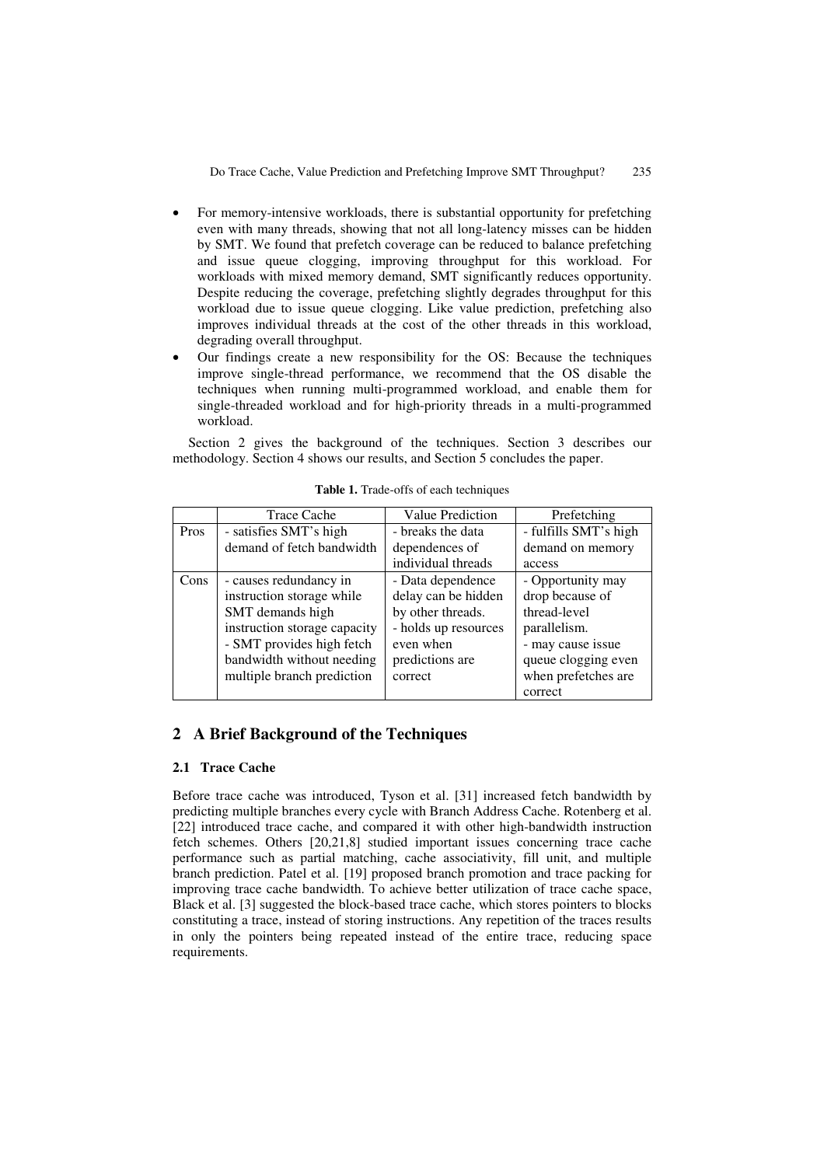- For memory-intensive workloads, there is substantial opportunity for prefetching even with many threads, showing that not all long-latency misses can be hidden by SMT. We found that prefetch coverage can be reduced to balance prefetching and issue queue clogging, improving throughput for this workload. For workloads with mixed memory demand, SMT significantly reduces opportunity. Despite reducing the coverage, prefetching slightly degrades throughput for this workload due to issue queue clogging. Like value prediction, prefetching also improves individual threads at the cost of the other threads in this workload, degrading overall throughput.
- Our findings create a new responsibility for the OS: Because the techniques improve single-thread performance, we recommend that the OS disable the techniques when running multi-programmed workload, and enable them for single-threaded workload and for high-priority threads in a multi-programmed workload.

Section 2 gives the background of the techniques. Section 3 describes our methodology. Section 4 shows our results, and Section 5 concludes the paper.

|      | <b>Trace Cache</b>           | Value Prediction     | Prefetching           |
|------|------------------------------|----------------------|-----------------------|
| Pros | - satisfies SMT's high       | - breaks the data    | - fulfills SMT's high |
|      | demand of fetch bandwidth    | dependences of       | demand on memory      |
|      |                              | individual threads   | access                |
| Cons | - causes redundancy in       | - Data dependence    | - Opportunity may     |
|      | instruction storage while    | delay can be hidden  | drop because of       |
|      | SMT demands high             | by other threads.    | thread-level          |
|      | instruction storage capacity | - holds up resources | parallelism.          |
|      | - SMT provides high fetch    | even when            | - may cause issue     |
|      | bandwidth without needing    | predictions are      | queue clogging even   |
|      | multiple branch prediction   | correct              | when prefetches are   |
|      |                              |                      | correct               |

**Table 1.** Trade-offs of each techniques

# **2 A Brief Background of the Techniques**

# **2.1 Trace Cache**

Before trace cache was introduced, Tyson et al. [31] increased fetch bandwidth by predicting multiple branches every cycle with Branch Address Cache. Rotenberg et al. [22] introduced trace cache, and compared it with other high-bandwidth instruction fetch schemes. Others [20,21,8] studied important issues concerning trace cache performance such as partial matching, cache associativity, fill unit, and multiple branch prediction. Patel et al. [19] proposed branch promotion and trace packing for improving trace cache bandwidth. To achieve better utilization of trace cache space, Black et al. [3] suggested the block-based trace cache, which stores pointers to blocks constituting a trace, instead of storing instructions. Any repetition of the traces results in only the pointers being repeated instead of the entire trace, reducing space requirements.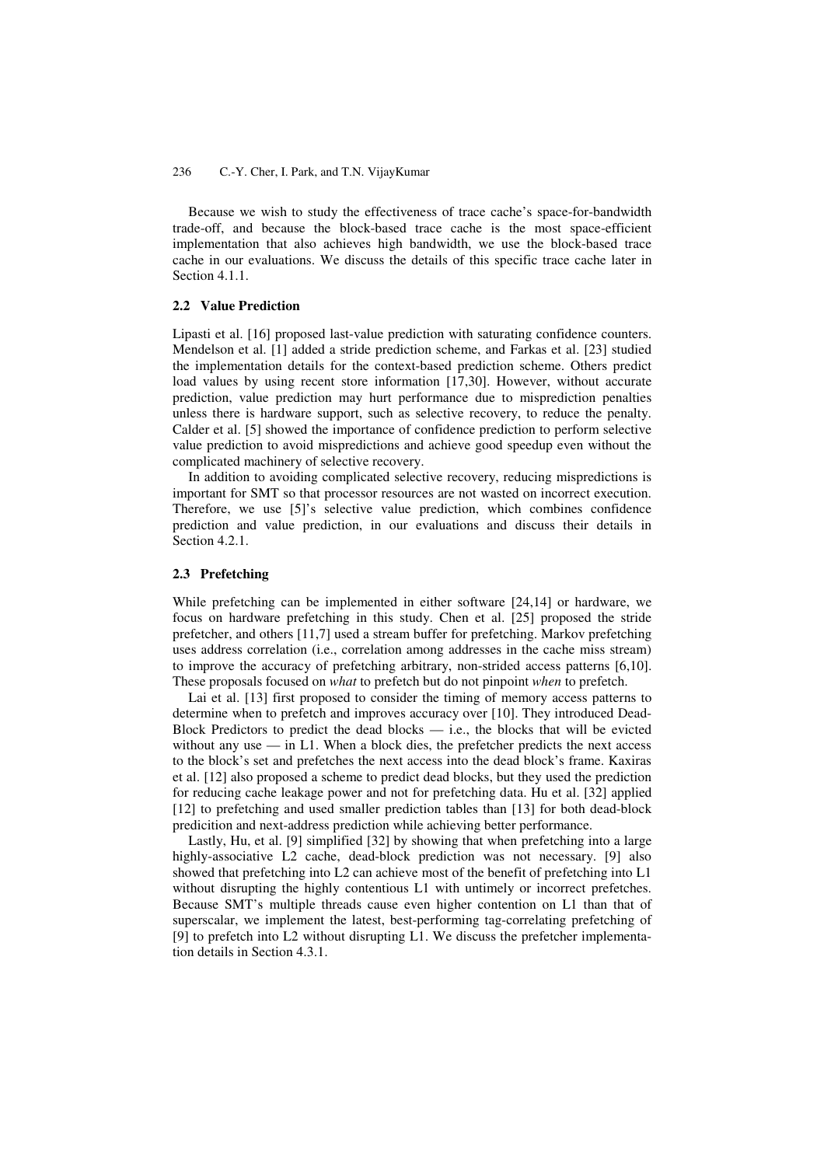Because we wish to study the effectiveness of trace cache's space-for-bandwidth trade-off, and because the block-based trace cache is the most space-efficient implementation that also achieves high bandwidth, we use the block-based trace cache in our evaluations. We discuss the details of this specific trace cache later in Section 4.1.1.

### **2.2 Value Prediction**

Lipasti et al. [16] proposed last-value prediction with saturating confidence counters. Mendelson et al. [1] added a stride prediction scheme, and Farkas et al. [23] studied the implementation details for the context-based prediction scheme. Others predict load values by using recent store information [17,30]. However, without accurate prediction, value prediction may hurt performance due to misprediction penalties unless there is hardware support, such as selective recovery, to reduce the penalty. Calder et al. [5] showed the importance of confidence prediction to perform selective value prediction to avoid mispredictions and achieve good speedup even without the complicated machinery of selective recovery.

In addition to avoiding complicated selective recovery, reducing mispredictions is important for SMT so that processor resources are not wasted on incorrect execution. Therefore, we use [5]'s selective value prediction, which combines confidence prediction and value prediction, in our evaluations and discuss their details in Section 4.2.1.

#### **2.3 Prefetching**

While prefetching can be implemented in either software [24,14] or hardware, we focus on hardware prefetching in this study. Chen et al. [25] proposed the stride prefetcher, and others [11,7] used a stream buffer for prefetching. Markov prefetching uses address correlation (i.e., correlation among addresses in the cache miss stream) to improve the accuracy of prefetching arbitrary, non-strided access patterns [6,10]. These proposals focused on *what* to prefetch but do not pinpoint *when* to prefetch.

Lai et al. [13] first proposed to consider the timing of memory access patterns to determine when to prefetch and improves accuracy over [10]. They introduced Dead-Block Predictors to predict the dead blocks  $-$  i.e., the blocks that will be evicted without any use  $-$  in L1. When a block dies, the prefetcher predicts the next access to the block's set and prefetches the next access into the dead block's frame. Kaxiras et al. [12] also proposed a scheme to predict dead blocks, but they used the prediction for reducing cache leakage power and not for prefetching data. Hu et al. [32] applied [12] to prefetching and used smaller prediction tables than [13] for both dead-block predicition and next-address prediction while achieving better performance.

Lastly, Hu, et al. [9] simplified [32] by showing that when prefetching into a large highly-associative L2 cache, dead-block prediction was not necessary. [9] also showed that prefetching into L2 can achieve most of the benefit of prefetching into L1 without disrupting the highly contentious L1 with untimely or incorrect prefetches. Because SMT's multiple threads cause even higher contention on L1 than that of superscalar, we implement the latest, best-performing tag-correlating prefetching of [9] to prefetch into L2 without disrupting L1. We discuss the prefetcher implementation details in Section 4.3.1.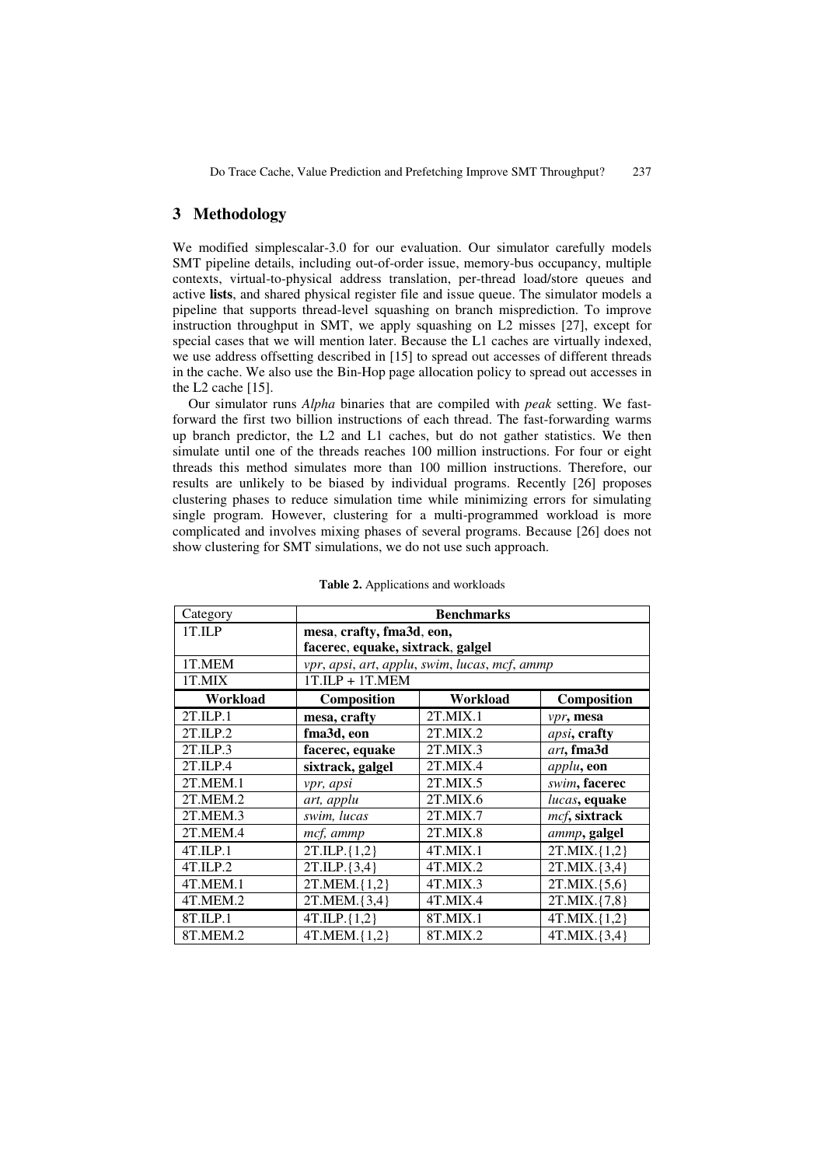# **3 Methodology**

We modified simplescalar-3.0 for our evaluation. Our simulator carefully models SMT pipeline details, including out-of-order issue, memory-bus occupancy, multiple contexts, virtual-to-physical address translation, per-thread load/store queues and active **lists**, and shared physical register file and issue queue. The simulator models a pipeline that supports thread-level squashing on branch misprediction. To improve instruction throughput in SMT, we apply squashing on L2 misses [27], except for special cases that we will mention later. Because the L1 caches are virtually indexed, we use address offsetting described in [15] to spread out accesses of different threads in the cache. We also use the Bin-Hop page allocation policy to spread out accesses in the L2 cache [15].

Our simulator runs *Alpha* binaries that are compiled with *peak* setting. We fastforward the first two billion instructions of each thread. The fast-forwarding warms up branch predictor, the L2 and L1 caches, but do not gather statistics. We then simulate until one of the threads reaches 100 million instructions. For four or eight threads this method simulates more than 100 million instructions. Therefore, our results are unlikely to be biased by individual programs. Recently [26] proposes clustering phases to reduce simulation time while minimizing errors for simulating single program. However, clustering for a multi-programmed workload is more complicated and involves mixing phases of several programs. Because [26] does not show clustering for SMT simulations, we do not use such approach.

| Category | <b>Benchmarks</b>                             |          |               |  |  |  |  |  |  |  |
|----------|-----------------------------------------------|----------|---------------|--|--|--|--|--|--|--|
| 1T.ILP   | mesa, crafty, fma3d, eon,                     |          |               |  |  |  |  |  |  |  |
|          | facerec, equake, sixtrack, galgel             |          |               |  |  |  |  |  |  |  |
| 1T.MEM   | vpr, apsi, art, applu, swim, lucas, mcf, ammp |          |               |  |  |  |  |  |  |  |
| 1T.MIX   | $1T.ILP + 1T.MEM$                             |          |               |  |  |  |  |  |  |  |
| Workload | Composition                                   | Workload | Composition   |  |  |  |  |  |  |  |
| 2T.H.P.1 | mesa, crafty                                  | 2T.MIX.1 | vpr, mesa     |  |  |  |  |  |  |  |
| 2T.ILP.2 | fma3d, eon                                    | 2T.MIX.2 | apsi, crafty  |  |  |  |  |  |  |  |
| 2T.LP.3  | facerec, equake                               | 2T.MIX.3 | art, fma3d    |  |  |  |  |  |  |  |
| 2T.LP.4  | sixtrack, galgel                              | 2T.MIX.4 | applu, eon    |  |  |  |  |  |  |  |
| 2T.MEM.1 | vpr, apsi                                     | 2T.MIX.5 | swim, facerec |  |  |  |  |  |  |  |
| 2T.MEM.2 | art, applu                                    | 2T.MIX.6 | lucas, equake |  |  |  |  |  |  |  |
| 2T.MEM.3 | swim, lucas                                   | 2T.MIX.7 | mcf, sixtrack |  |  |  |  |  |  |  |
| 2T.MEM.4 | mcf, ammp                                     | 2T.MIX.8 | ammp, galgel  |  |  |  |  |  |  |  |
| 4T.H.P.1 | 2T.ILP.{1,2}                                  | 4T.MIX.1 | 2T.MIX. {1,2} |  |  |  |  |  |  |  |
| 4T.ILP.2 | 2T.ILP.{3,4}                                  | 4T.MIX.2 | 2T.MIX. {3,4} |  |  |  |  |  |  |  |
| 4T.MEM.1 | 2T.MEM. {1,2}                                 | 4T.MIX.3 | 2T.MIX. {5,6} |  |  |  |  |  |  |  |
| 4T.MEM.2 | 2T.MEM. {3,4}                                 | 4T.MIX.4 | 2T.MIX. {7,8} |  |  |  |  |  |  |  |
| 8T.ILP.1 | $4T.ILP.\{1,2\}$                              | 8T.MIX.1 | 4T.MIX. {1,2} |  |  |  |  |  |  |  |
| 8T.MEM.2 | 4T.MEM. {1,2}                                 | 8T.MIX.2 | 4T.MIX. {3,4} |  |  |  |  |  |  |  |

**Table 2.** Applications and workloads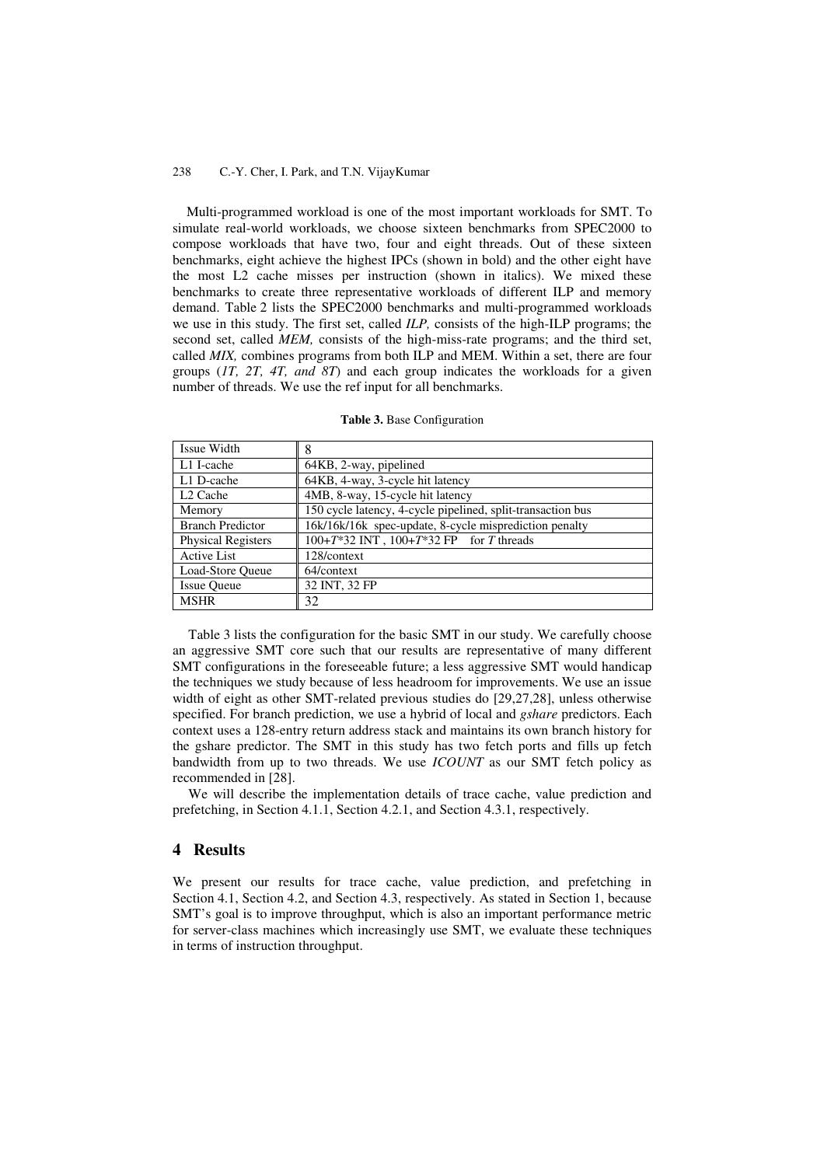Multi-programmed workload is one of the most important workloads for SMT. To simulate real-world workloads, we choose sixteen benchmarks from SPEC2000 to compose workloads that have two, four and eight threads. Out of these sixteen benchmarks, eight achieve the highest IPCs (shown in bold) and the other eight have the most L2 cache misses per instruction (shown in italics). We mixed these benchmarks to create three representative workloads of different ILP and memory demand. Table 2 lists the SPEC2000 benchmarks and multi-programmed workloads we use in this study. The first set, called *ILP,* consists of the high-ILP programs; the second set, called *MEM,* consists of the high-miss-rate programs; and the third set, called *MIX,* combines programs from both ILP and MEM. Within a set, there are four groups (*1T, 2T, 4T, and 8T*) and each group indicates the workloads for a given number of threads. We use the ref input for all benchmarks.

| Issue Width               |                                                             |  |  |  |  |  |  |
|---------------------------|-------------------------------------------------------------|--|--|--|--|--|--|
| L1 I-cache                | 64KB, 2-way, pipelined                                      |  |  |  |  |  |  |
| L1 D-cache                | 64KB, 4-way, 3-cycle hit latency                            |  |  |  |  |  |  |
| L2 Cache                  | 4MB, 8-way, 15-cycle hit latency                            |  |  |  |  |  |  |
| Memory                    | 150 cycle latency, 4-cycle pipelined, split-transaction bus |  |  |  |  |  |  |
| <b>Branch Predictor</b>   | 16k/16k/16k spec-update, 8-cycle misprediction penalty      |  |  |  |  |  |  |
| <b>Physical Registers</b> | 100+ $T$ *32 INT, 100+ $T$ *32 FP for T threads             |  |  |  |  |  |  |
| <b>Active List</b>        | 128/context                                                 |  |  |  |  |  |  |
| Load-Store Oueue          | 64/context                                                  |  |  |  |  |  |  |
| <b>Issue Oueue</b>        | 32 INT, 32 FP                                               |  |  |  |  |  |  |
| <b>MSHR</b>               | 32                                                          |  |  |  |  |  |  |

**Table 3.** Base Configuration

Table 3 lists the configuration for the basic SMT in our study. We carefully choose an aggressive SMT core such that our results are representative of many different SMT configurations in the foreseeable future; a less aggressive SMT would handicap the techniques we study because of less headroom for improvements. We use an issue width of eight as other SMT-related previous studies do [29,27,28], unless otherwise specified. For branch prediction, we use a hybrid of local and *gshare* predictors. Each context uses a 128-entry return address stack and maintains its own branch history for the gshare predictor. The SMT in this study has two fetch ports and fills up fetch bandwidth from up to two threads. We use *ICOUNT* as our SMT fetch policy as recommended in [28].

We will describe the implementation details of trace cache, value prediction and prefetching, in Section 4.1.1, Section 4.2.1, and Section 4.3.1, respectively.

# **4 Results**

We present our results for trace cache, value prediction, and prefetching in Section 4.1, Section 4.2, and Section 4.3, respectively. As stated in Section 1, because SMT's goal is to improve throughput, which is also an important performance metric for server-class machines which increasingly use SMT, we evaluate these techniques in terms of instruction throughput.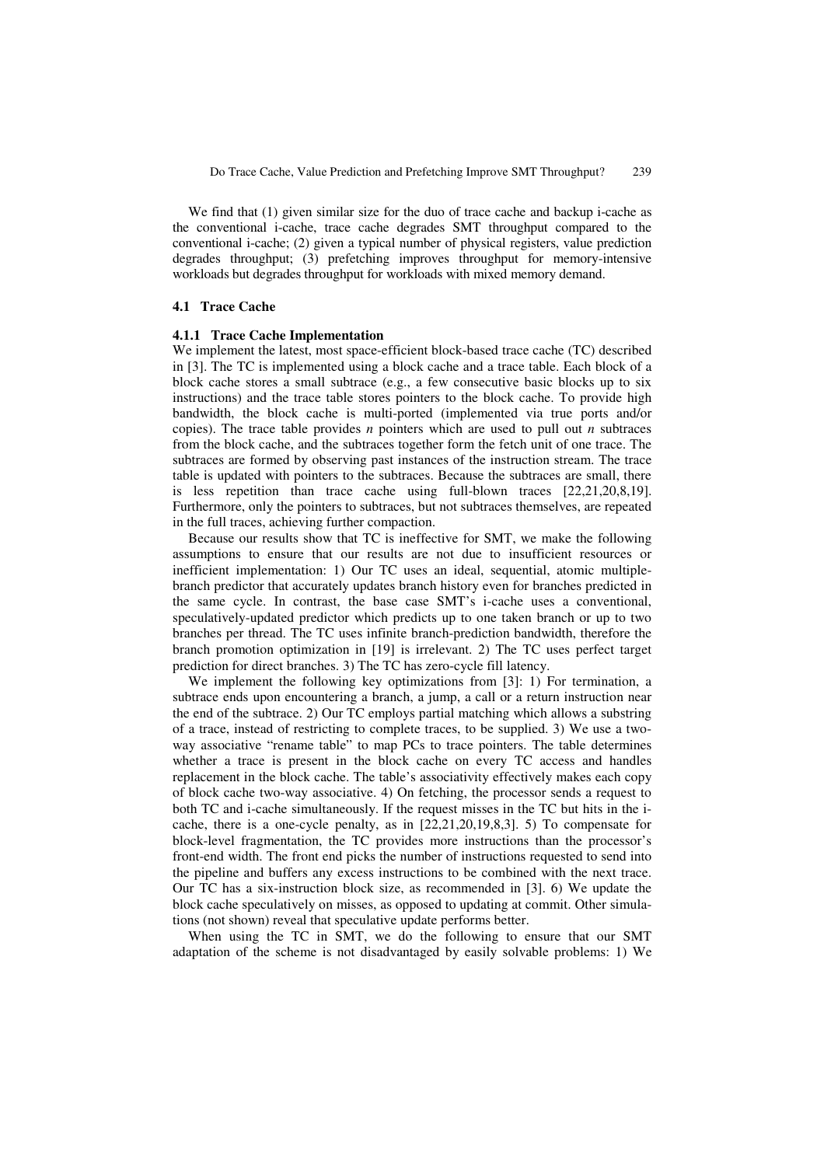We find that (1) given similar size for the duo of trace cache and backup i-cache as the conventional i-cache, trace cache degrades SMT throughput compared to the conventional i-cache; (2) given a typical number of physical registers, value prediction degrades throughput; (3) prefetching improves throughput for memory-intensive workloads but degrades throughput for workloads with mixed memory demand.

#### **4.1 Trace Cache**

#### **4.1.1 Trace Cache Implementation**

We implement the latest, most space-efficient block-based trace cache (TC) described in [3]. The TC is implemented using a block cache and a trace table. Each block of a block cache stores a small subtrace (e.g., a few consecutive basic blocks up to six instructions) and the trace table stores pointers to the block cache. To provide high bandwidth, the block cache is multi-ported (implemented via true ports and/or copies). The trace table provides *n* pointers which are used to pull out *n* subtraces from the block cache, and the subtraces together form the fetch unit of one trace. The subtraces are formed by observing past instances of the instruction stream. The trace table is updated with pointers to the subtraces. Because the subtraces are small, there is less repetition than trace cache using full-blown traces [22,21,20,8,19]. Furthermore, only the pointers to subtraces, but not subtraces themselves, are repeated in the full traces, achieving further compaction.

Because our results show that TC is ineffective for SMT, we make the following assumptions to ensure that our results are not due to insufficient resources or inefficient implementation: 1) Our TC uses an ideal, sequential, atomic multiplebranch predictor that accurately updates branch history even for branches predicted in the same cycle. In contrast, the base case SMT's i-cache uses a conventional, speculatively-updated predictor which predicts up to one taken branch or up to two branches per thread. The TC uses infinite branch-prediction bandwidth, therefore the branch promotion optimization in [19] is irrelevant. 2) The TC uses perfect target prediction for direct branches. 3) The TC has zero-cycle fill latency.

We implement the following key optimizations from [3]: 1) For termination, a subtrace ends upon encountering a branch, a jump, a call or a return instruction near the end of the subtrace. 2) Our TC employs partial matching which allows a substring of a trace, instead of restricting to complete traces, to be supplied. 3) We use a twoway associative "rename table" to map PCs to trace pointers. The table determines whether a trace is present in the block cache on every TC access and handles replacement in the block cache. The table's associativity effectively makes each copy of block cache two-way associative. 4) On fetching, the processor sends a request to both TC and i-cache simultaneously. If the request misses in the TC but hits in the icache, there is a one-cycle penalty, as in [22,21,20,19,8,3]. 5) To compensate for block-level fragmentation, the TC provides more instructions than the processor's front-end width. The front end picks the number of instructions requested to send into the pipeline and buffers any excess instructions to be combined with the next trace. Our TC has a six-instruction block size, as recommended in [3]. 6) We update the block cache speculatively on misses, as opposed to updating at commit. Other simulations (not shown) reveal that speculative update performs better.

When using the TC in SMT, we do the following to ensure that our SMT adaptation of the scheme is not disadvantaged by easily solvable problems: 1) We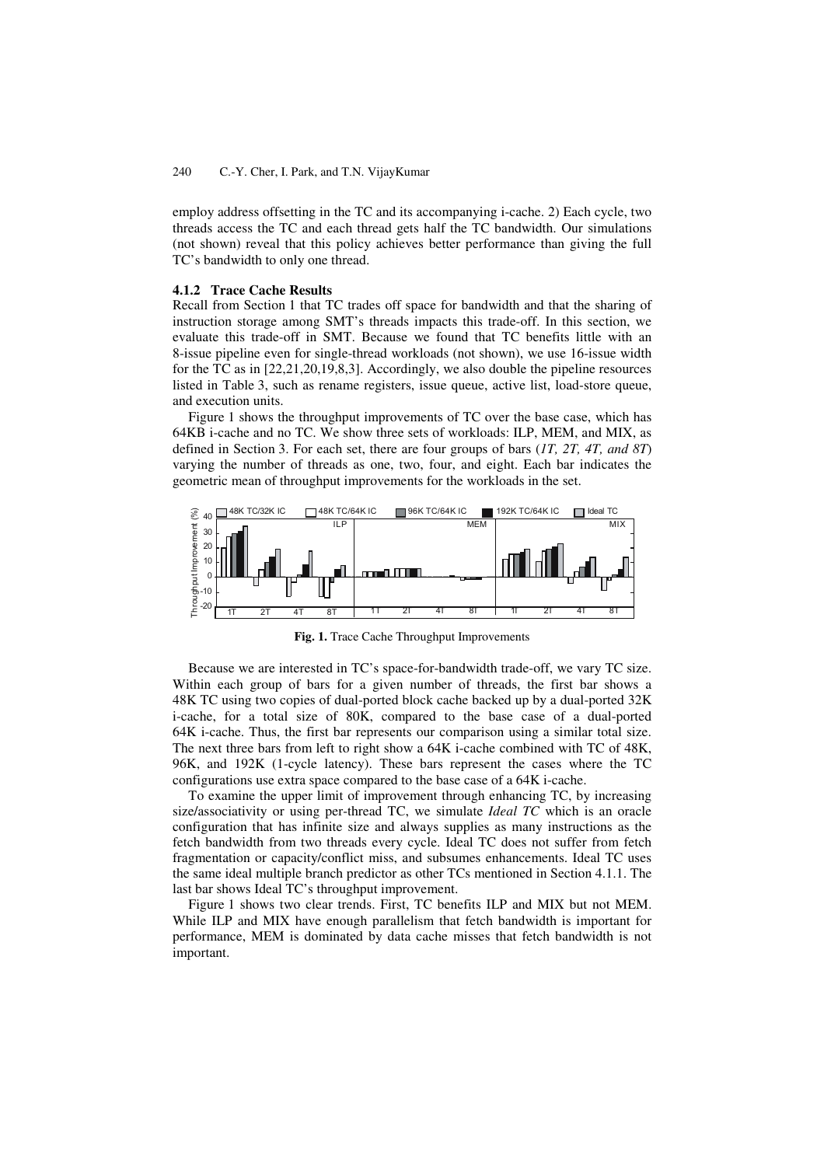employ address offsetting in the TC and its accompanying i-cache. 2) Each cycle, two threads access the TC and each thread gets half the TC bandwidth. Our simulations (not shown) reveal that this policy achieves better performance than giving the full TC's bandwidth to only one thread.

#### **4.1.2 Trace Cache Results**

Recall from Section 1 that TC trades off space for bandwidth and that the sharing of instruction storage among SMT's threads impacts this trade-off. In this section, we evaluate this trade-off in SMT. Because we found that TC benefits little with an 8-issue pipeline even for single-thread workloads (not shown), we use 16-issue width for the TC as in [22,21,20,19,8,3]. Accordingly, we also double the pipeline resources listed in Table 3, such as rename registers, issue queue, active list, load-store queue, and execution units.

Figure 1 shows the throughput improvements of TC over the base case, which has 64KB i-cache and no TC. We show three sets of workloads: ILP, MEM, and MIX, as defined in Section 3. For each set, there are four groups of bars (*1T, 2T, 4T, and 8T*) varying the number of threads as one, two, four, and eight. Each bar indicates the geometric mean of throughput improvements for the workloads in the set.



**Fig. 1.** Trace Cache Throughput Improvements

Because we are interested in TC's space-for-bandwidth trade-off, we vary TC size. Within each group of bars for a given number of threads, the first bar shows a 48K TC using two copies of dual-ported block cache backed up by a dual-ported 32K i-cache, for a total size of 80K, compared to the base case of a dual-ported 64K i-cache. Thus, the first bar represents our comparison using a similar total size. The next three bars from left to right show a 64K i-cache combined with TC of 48K, 96K, and 192K (1-cycle latency). These bars represent the cases where the TC configurations use extra space compared to the base case of a 64K i-cache.

To examine the upper limit of improvement through enhancing TC, by increasing size/associativity or using per-thread TC, we simulate *Ideal TC* which is an oracle configuration that has infinite size and always supplies as many instructions as the fetch bandwidth from two threads every cycle. Ideal TC does not suffer from fetch fragmentation or capacity/conflict miss, and subsumes enhancements. Ideal TC uses the same ideal multiple branch predictor as other TCs mentioned in Section 4.1.1. The last bar shows Ideal TC's throughput improvement.

Figure 1 shows two clear trends. First, TC benefits ILP and MIX but not MEM. While ILP and MIX have enough parallelism that fetch bandwidth is important for performance, MEM is dominated by data cache misses that fetch bandwidth is not important.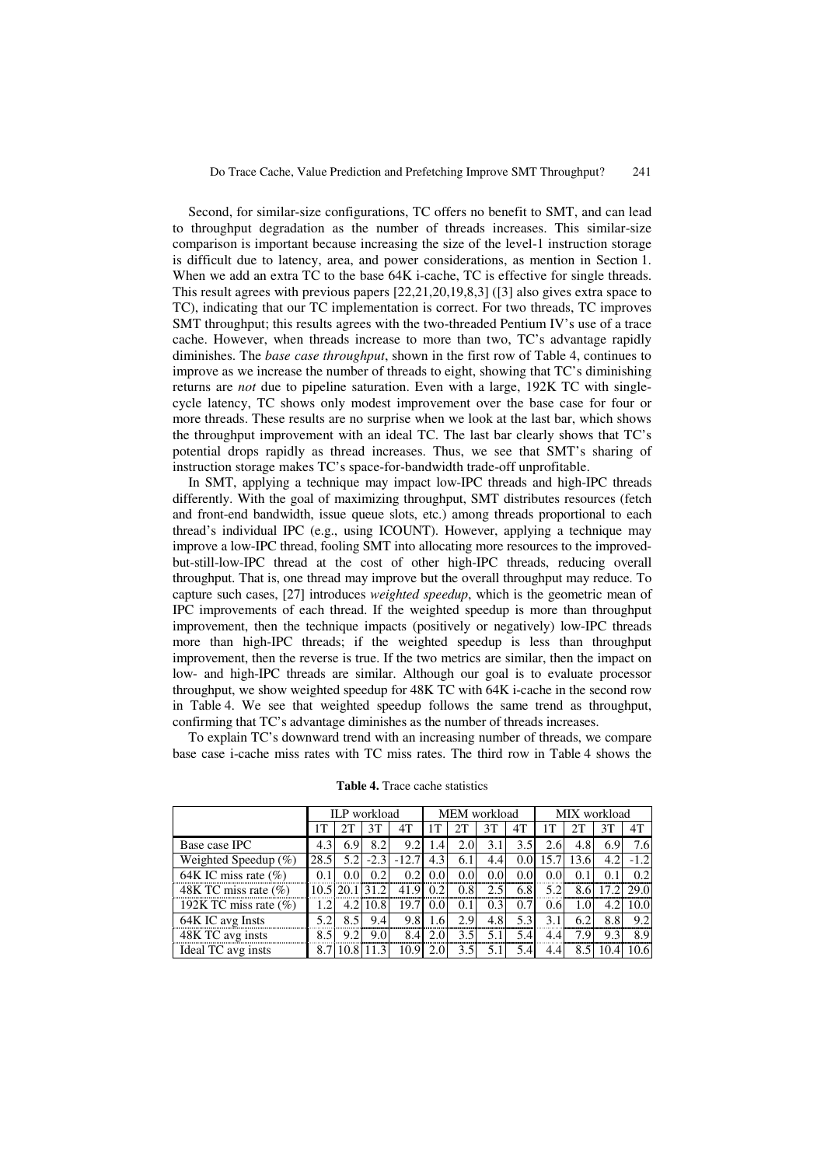Second, for similar-size configurations, TC offers no benefit to SMT, and can lead to throughput degradation as the number of threads increases. This similar-size comparison is important because increasing the size of the level-1 instruction storage is difficult due to latency, area, and power considerations, as mention in Section 1. When we add an extra TC to the base 64K i-cache, TC is effective for single threads. This result agrees with previous papers [22,21,20,19,8,3] ([3] also gives extra space to TC), indicating that our TC implementation is correct. For two threads, TC improves SMT throughput; this results agrees with the two-threaded Pentium IV's use of a trace cache. However, when threads increase to more than two, TC's advantage rapidly diminishes. The *base case throughput*, shown in the first row of Table 4, continues to improve as we increase the number of threads to eight, showing that TC's diminishing returns are *not* due to pipeline saturation. Even with a large, 192K TC with singlecycle latency, TC shows only modest improvement over the base case for four or more threads. These results are no surprise when we look at the last bar, which shows the throughput improvement with an ideal TC. The last bar clearly shows that TC's potential drops rapidly as thread increases. Thus, we see that SMT's sharing of instruction storage makes TC's space-for-bandwidth trade-off unprofitable.

In SMT, applying a technique may impact low-IPC threads and high-IPC threads differently. With the goal of maximizing throughput, SMT distributes resources (fetch and front-end bandwidth, issue queue slots, etc.) among threads proportional to each thread's individual IPC (e.g., using ICOUNT). However, applying a technique may improve a low-IPC thread, fooling SMT into allocating more resources to the improvedbut-still-low-IPC thread at the cost of other high-IPC threads, reducing overall throughput. That is, one thread may improve but the overall throughput may reduce. To capture such cases, [27] introduces *weighted speedup*, which is the geometric mean of IPC improvements of each thread. If the weighted speedup is more than throughput improvement, then the technique impacts (positively or negatively) low-IPC threads more than high-IPC threads; if the weighted speedup is less than throughput improvement, then the reverse is true. If the two metrics are similar, then the impact on low- and high-IPC threads are similar. Although our goal is to evaluate processor throughput, we show weighted speedup for 48K TC with 64K i-cache in the second row in Table 4. We see that weighted speedup follows the same trend as throughput, confirming that TC's advantage diminishes as the number of threads increases.

To explain TC's downward trend with an increasing number of threads, we compare base case i-cache miss rates with TC miss rates. The third row in Table 4 shows the

|                          |      | ILP workload |          |         | MEM workload |                  |                  |     | MIX workload |      |       |        |
|--------------------------|------|--------------|----------|---------|--------------|------------------|------------------|-----|--------------|------|-------|--------|
|                          |      |              | 3Τ       | 4T      |              |                  | 3Τ               | 4T  |              |      | 3Τ    | 4T     |
| Base case IPC            | 4.3  | 6.9          | 8.2      | 9.2     | 1.4          | 2.0              | 3.1              | 3.5 | 2.6          | 4.8  | 6.9   | 7.6    |
| Weighted Speedup $(\%)$  | 28.5 | 5.2          | $-2.3$   | $-12.7$ | 4.31         | 6.1              | 4.4              | 0.0 | 15.          | 13.6 | 4.2   | $-1.2$ |
| 64K IC miss rate $(\% )$ | 0.1  | 0.01         | 0.2      | 0.21    | (0.0)        | 0.0 <sub>l</sub> | 0.0 <sup>1</sup> | 0.0 | (0.0)        | 0.1  | 0.1   | 0.21   |
| 48K TC miss rate $(\%)$  | 10.5 |              |          | 41.9    | 0.2          | 0.8              | 2.5              | 6.8 | 5.2          | 8.6  | 17.2. | 29.0   |
| 192K TC miss rate $(\%)$ |      |              | 4.2 10.8 | 19.7    | 0.0          | 0.1              | 0.3              | 0.7 | 0.6          | 1.0  | 4.2   | 10.0   |
| 64K IC avg Insts         | 5.2  | 8.5          | 9.4      | 9.8     | 1.6          | 2.9              | 4.8              | 5.3 |              | 6.2  | 8.8   | 9.2    |
| 48K TC avg insts         | 8.51 | 9.2          | 9.0      | 8.4     | 2.0          | 3.5              | 5.1              | 5.4 | 4.4          | 7.9  | 9.3   | 8.9    |
| Ideal TC avg insts       |      |              |          | 10.9    |              | 3.5              | 5.1              | 5.4 | 4.4          | 8.5  | 10.4  | 10.6   |

**Table 4.** Trace cache statistics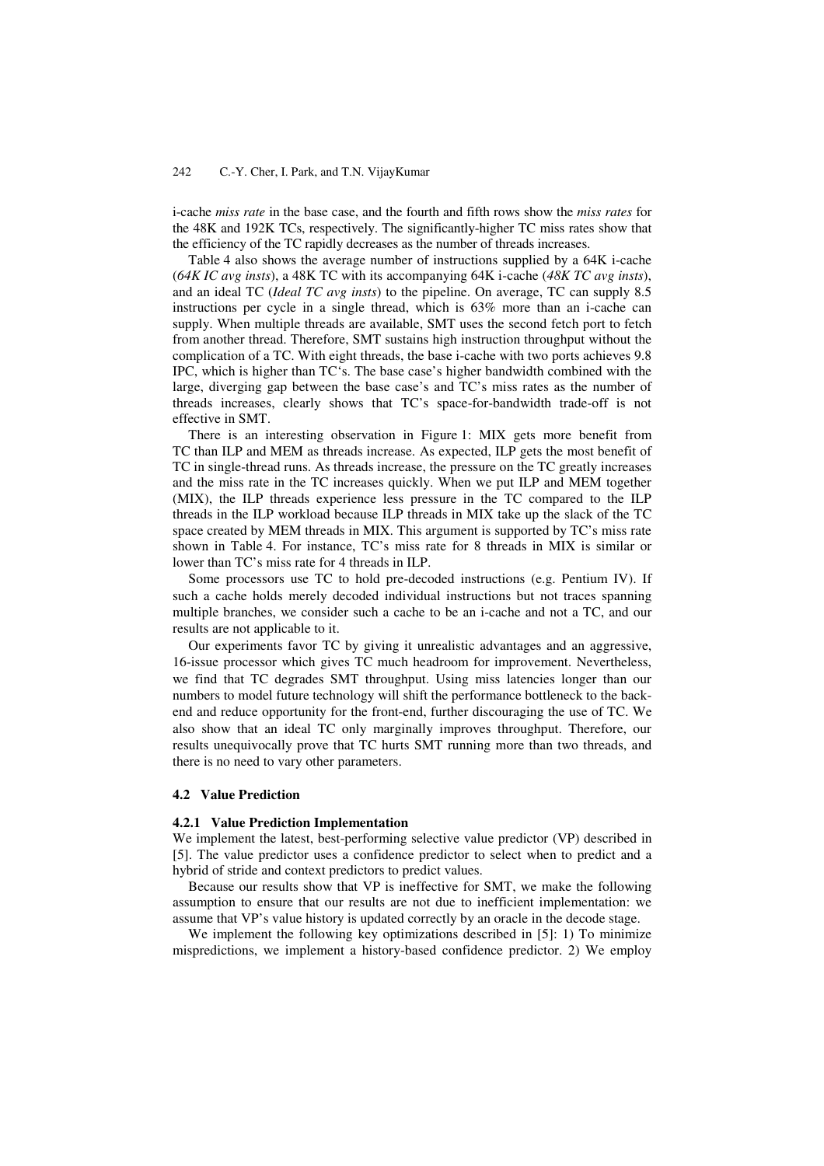i-cache *miss rate* in the base case, and the fourth and fifth rows show the *miss rates* for the 48K and 192K TCs, respectively. The significantly-higher TC miss rates show that the efficiency of the TC rapidly decreases as the number of threads increases.

Table 4 also shows the average number of instructions supplied by a 64K i-cache (*64K IC avg insts*), a 48K TC with its accompanying 64K i-cache (*48K TC avg insts*), and an ideal TC (*Ideal TC avg insts*) to the pipeline. On average, TC can supply 8.5 instructions per cycle in a single thread, which is 63% more than an i-cache can supply. When multiple threads are available, SMT uses the second fetch port to fetch from another thread. Therefore, SMT sustains high instruction throughput without the complication of a TC. With eight threads, the base i-cache with two ports achieves 9.8 IPC, which is higher than TC's. The base case's higher bandwidth combined with the large, diverging gap between the base case's and TC's miss rates as the number of threads increases, clearly shows that TC's space-for-bandwidth trade-off is not effective in SMT.

There is an interesting observation in Figure 1: MIX gets more benefit from TC than ILP and MEM as threads increase. As expected, ILP gets the most benefit of TC in single-thread runs. As threads increase, the pressure on the TC greatly increases and the miss rate in the TC increases quickly. When we put ILP and MEM together (MIX), the ILP threads experience less pressure in the TC compared to the ILP threads in the ILP workload because ILP threads in MIX take up the slack of the TC space created by MEM threads in MIX. This argument is supported by TC's miss rate shown in Table 4. For instance, TC's miss rate for 8 threads in MIX is similar or lower than TC's miss rate for 4 threads in ILP.

Some processors use TC to hold pre-decoded instructions (e.g. Pentium IV). If such a cache holds merely decoded individual instructions but not traces spanning multiple branches, we consider such a cache to be an i-cache and not a TC, and our results are not applicable to it.

Our experiments favor TC by giving it unrealistic advantages and an aggressive, 16-issue processor which gives TC much headroom for improvement. Nevertheless, we find that TC degrades SMT throughput. Using miss latencies longer than our numbers to model future technology will shift the performance bottleneck to the backend and reduce opportunity for the front-end, further discouraging the use of TC. We also show that an ideal TC only marginally improves throughput. Therefore, our results unequivocally prove that TC hurts SMT running more than two threads, and there is no need to vary other parameters.

### **4.2 Value Prediction**

#### **4.2.1 Value Prediction Implementation**

We implement the latest, best-performing selective value predictor (VP) described in [5]. The value predictor uses a confidence predictor to select when to predict and a hybrid of stride and context predictors to predict values.

Because our results show that VP is ineffective for SMT, we make the following assumption to ensure that our results are not due to inefficient implementation: we assume that VP's value history is updated correctly by an oracle in the decode stage.

We implement the following key optimizations described in [5]: 1) To minimize mispredictions, we implement a history-based confidence predictor. 2) We employ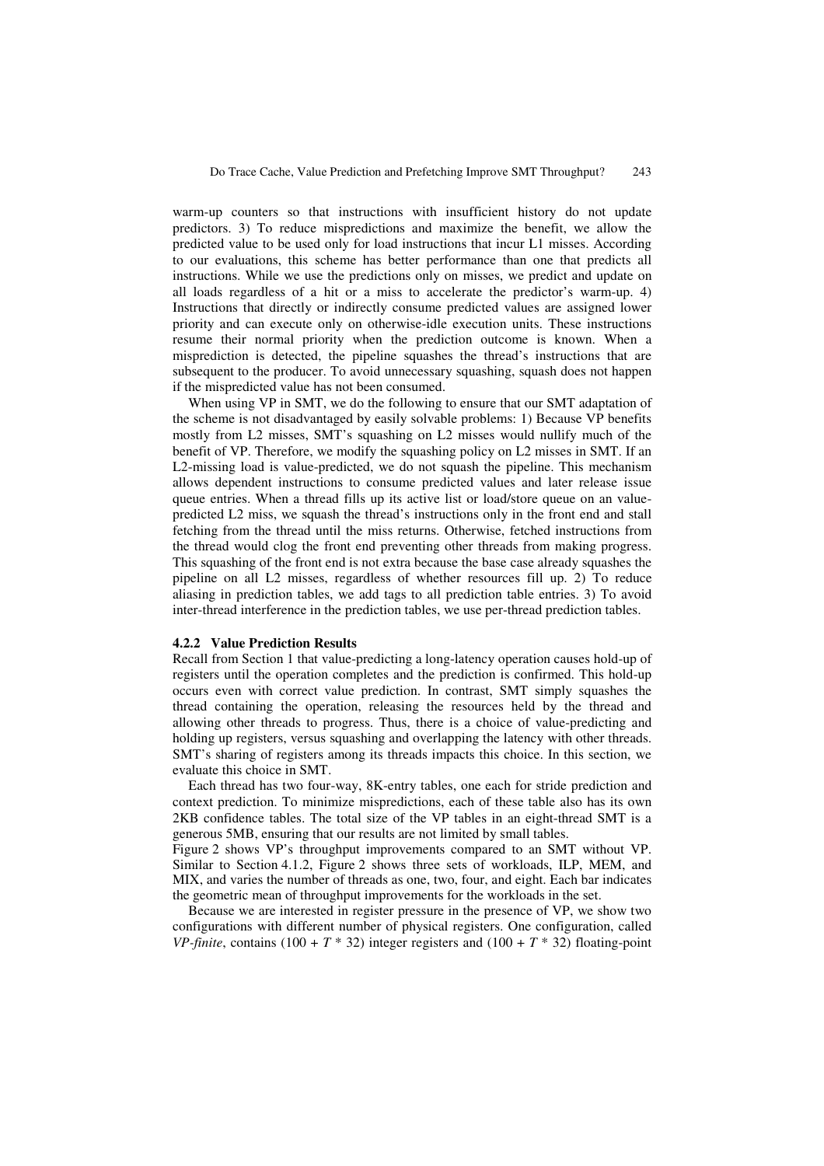warm-up counters so that instructions with insufficient history do not update predictors. 3) To reduce mispredictions and maximize the benefit, we allow the predicted value to be used only for load instructions that incur L1 misses. According to our evaluations, this scheme has better performance than one that predicts all instructions. While we use the predictions only on misses, we predict and update on all loads regardless of a hit or a miss to accelerate the predictor's warm-up. 4) Instructions that directly or indirectly consume predicted values are assigned lower priority and can execute only on otherwise-idle execution units. These instructions resume their normal priority when the prediction outcome is known. When a misprediction is detected, the pipeline squashes the thread's instructions that are subsequent to the producer. To avoid unnecessary squashing, squash does not happen if the mispredicted value has not been consumed.

When using VP in SMT, we do the following to ensure that our SMT adaptation of the scheme is not disadvantaged by easily solvable problems: 1) Because VP benefits mostly from L2 misses, SMT's squashing on L2 misses would nullify much of the benefit of VP. Therefore, we modify the squashing policy on L2 misses in SMT. If an L2-missing load is value-predicted, we do not squash the pipeline. This mechanism allows dependent instructions to consume predicted values and later release issue queue entries. When a thread fills up its active list or load/store queue on an valuepredicted L2 miss, we squash the thread's instructions only in the front end and stall fetching from the thread until the miss returns. Otherwise, fetched instructions from the thread would clog the front end preventing other threads from making progress. This squashing of the front end is not extra because the base case already squashes the pipeline on all L2 misses, regardless of whether resources fill up. 2) To reduce aliasing in prediction tables, we add tags to all prediction table entries. 3) To avoid inter-thread interference in the prediction tables, we use per-thread prediction tables.

### **4.2.2 Value Prediction Results**

Recall from Section 1 that value-predicting a long-latency operation causes hold-up of registers until the operation completes and the prediction is confirmed. This hold-up occurs even with correct value prediction. In contrast, SMT simply squashes the thread containing the operation, releasing the resources held by the thread and allowing other threads to progress. Thus, there is a choice of value-predicting and holding up registers, versus squashing and overlapping the latency with other threads. SMT's sharing of registers among its threads impacts this choice. In this section, we evaluate this choice in SMT.

Each thread has two four-way, 8K-entry tables, one each for stride prediction and context prediction. To minimize mispredictions, each of these table also has its own 2KB confidence tables. The total size of the VP tables in an eight-thread SMT is a generous 5MB, ensuring that our results are not limited by small tables.

Figure 2 shows VP's throughput improvements compared to an SMT without VP. Similar to Section 4.1.2, Figure 2 shows three sets of workloads, ILP, MEM, and MIX, and varies the number of threads as one, two, four, and eight. Each bar indicates the geometric mean of throughput improvements for the workloads in the set.

Because we are interested in register pressure in the presence of VP, we show two configurations with different number of physical registers. One configuration, called *VP-finite*, contains (100 +  $T$  \* 32) integer registers and (100 +  $T$  \* 32) floating-point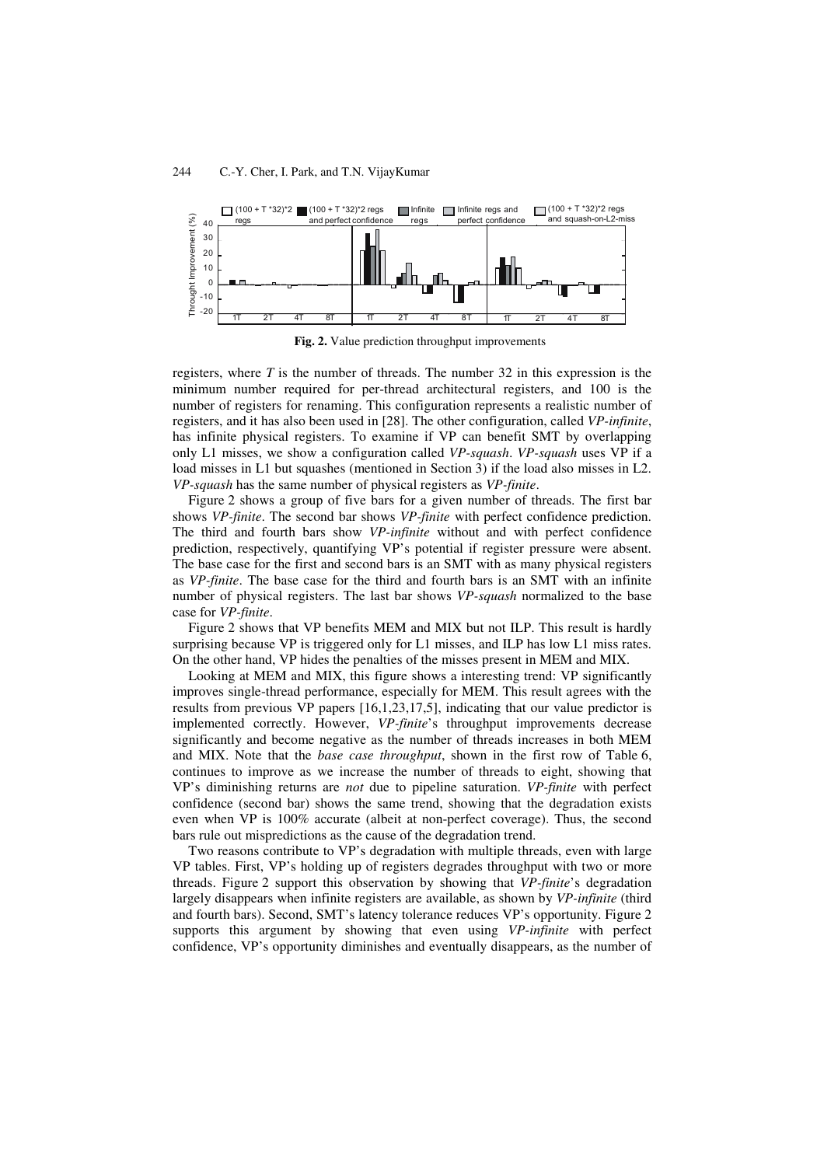

**Fig. 2.** Value prediction throughput improvements

registers, where *T* is the number of threads. The number 32 in this expression is the minimum number required for per-thread architectural registers, and 100 is the number of registers for renaming. This configuration represents a realistic number of registers, and it has also been used in [28]. The other configuration, called *VP-infinite*, has infinite physical registers. To examine if VP can benefit SMT by overlapping only L1 misses, we show a configuration called *VP-squash*. *VP-squash* uses VP if a load misses in L1 but squashes (mentioned in Section 3) if the load also misses in L2. *VP-squash* has the same number of physical registers as *VP-finite*.

Figure 2 shows a group of five bars for a given number of threads. The first bar shows *VP-finite*. The second bar shows *VP-finite* with perfect confidence prediction. The third and fourth bars show *VP-infinite* without and with perfect confidence prediction, respectively, quantifying VP's potential if register pressure were absent. The base case for the first and second bars is an SMT with as many physical registers as *VP-finite*. The base case for the third and fourth bars is an SMT with an infinite number of physical registers. The last bar shows *VP-squash* normalized to the base case for *VP-finite*.

Figure 2 shows that VP benefits MEM and MIX but not ILP. This result is hardly surprising because VP is triggered only for L1 misses, and ILP has low L1 miss rates. On the other hand, VP hides the penalties of the misses present in MEM and MIX.

Looking at MEM and MIX, this figure shows a interesting trend: VP significantly improves single-thread performance, especially for MEM. This result agrees with the results from previous VP papers [16,1,23,17,5], indicating that our value predictor is implemented correctly. However, *VP-finite*'s throughput improvements decrease significantly and become negative as the number of threads increases in both MEM and MIX. Note that the *base case throughput*, shown in the first row of Table 6, continues to improve as we increase the number of threads to eight, showing that VP's diminishing returns are *not* due to pipeline saturation. *VP-finite* with perfect confidence (second bar) shows the same trend, showing that the degradation exists even when VP is 100% accurate (albeit at non-perfect coverage). Thus, the second bars rule out mispredictions as the cause of the degradation trend.

Two reasons contribute to VP's degradation with multiple threads, even with large VP tables. First, VP's holding up of registers degrades throughput with two or more threads. Figure 2 support this observation by showing that *VP-finite*'s degradation largely disappears when infinite registers are available, as shown by *VP-infinite* (third and fourth bars). Second, SMT's latency tolerance reduces VP's opportunity. Figure 2 supports this argument by showing that even using *VP-infinite* with perfect confidence, VP's opportunity diminishes and eventually disappears, as the number of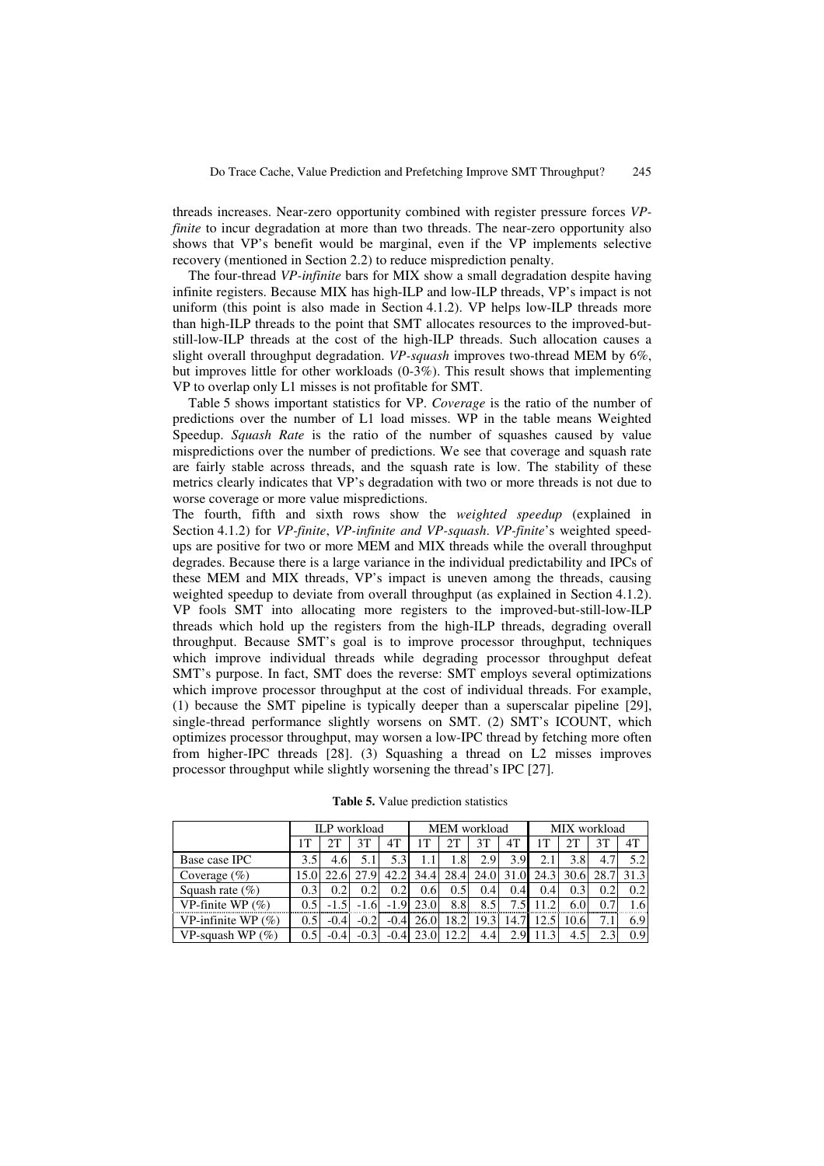threads increases. Near-zero opportunity combined with register pressure forces *VPfinite* to incur degradation at more than two threads. The near-zero opportunity also shows that VP's benefit would be marginal, even if the VP implements selective recovery (mentioned in Section 2.2) to reduce misprediction penalty.

The four-thread *VP-infinite* bars for MIX show a small degradation despite having infinite registers. Because MIX has high-ILP and low-ILP threads, VP's impact is not uniform (this point is also made in Section 4.1.2). VP helps low-ILP threads more than high-ILP threads to the point that SMT allocates resources to the improved-butstill-low-ILP threads at the cost of the high-ILP threads. Such allocation causes a slight overall throughput degradation. *VP-squash* improves two-thread MEM by 6%, but improves little for other workloads (0-3%). This result shows that implementing VP to overlap only L1 misses is not profitable for SMT.

Table 5 shows important statistics for VP. *Coverage* is the ratio of the number of predictions over the number of L1 load misses. WP in the table means Weighted Speedup. *Squash Rate* is the ratio of the number of squashes caused by value mispredictions over the number of predictions. We see that coverage and squash rate are fairly stable across threads, and the squash rate is low. The stability of these metrics clearly indicates that VP's degradation with two or more threads is not due to worse coverage or more value mispredictions.

The fourth, fifth and sixth rows show the *weighted speedup* (explained in Section 4.1.2) for *VP-finite*, *VP-infinite and VP-squash*. *VP-finite*'s weighted speedups are positive for two or more MEM and MIX threads while the overall throughput degrades. Because there is a large variance in the individual predictability and IPCs of these MEM and MIX threads, VP's impact is uneven among the threads, causing weighted speedup to deviate from overall throughput (as explained in Section 4.1.2). VP fools SMT into allocating more registers to the improved-but-still-low-ILP threads which hold up the registers from the high-ILP threads, degrading overall throughput. Because SMT's goal is to improve processor throughput, techniques which improve individual threads while degrading processor throughput defeat SMT's purpose. In fact, SMT does the reverse: SMT employs several optimizations which improve processor throughput at the cost of individual threads. For example, (1) because the SMT pipeline is typically deeper than a superscalar pipeline [29], single-thread performance slightly worsens on SMT. (2) SMT's ICOUNT, which optimizes processor throughput, may worsen a low-IPC thread by fetching more often from higher-IPC threads [28]. (3) Squashing a thread on L2 misses improves processor throughput while slightly worsening the thread's IPC [27].

|                       | ILP workload |        |        |                  |      |      | MEM workload |                  | MIX workload |      |     |     |
|-----------------------|--------------|--------|--------|------------------|------|------|--------------|------------------|--------------|------|-----|-----|
|                       |              |        | 3Τ     | 4T               |      | 2Τ   | 3Ί           | 4T               | 17           |      |     | 4T  |
| Base case IPC         |              | 4.6    | 5.1    |                  |      | 1.8  | 2.9          | 3.91             | 2.           | 3.8  | 4.7 | 5.2 |
| Coverage $(\% )$      |              |        |        | 42.21            | 34.4 |      | 28.4 24.0    | 31.0             | 24.3         | 30.6 |     |     |
| Squash rate $(\% )$   | 0.3          | 0.2    | 0.2    | 0.2 <sub>l</sub> | 0.61 | 0.5  | (0.41)       | 0.41             | 0.41         | 0.3  | 0.2 | 0.2 |
| VP-finite WP $(\%)$   |              |        | $-1.6$ | $-1.9$           | 23.0 | 8.8  | 8.5          | 7.5 <sub>l</sub> |              | 6.0  | 0.7 |     |
| VP-infinite WP $(\%)$ | 0.5          | $-0.4$ | $-0.2$ | $-0.4$           | 26.0 | 18.2 | 19.3         | 14.7             | 12.5         | 10.6 |     | 6.9 |
| VP-squash WP $(\%)$   |              | $-0.4$ | $-0.3$ | $-0.4$           |      | 12.2 | 4.4          | 2.9              | 11.3         |      | 2.3 | 0.9 |

**Table 5.** Value prediction statistics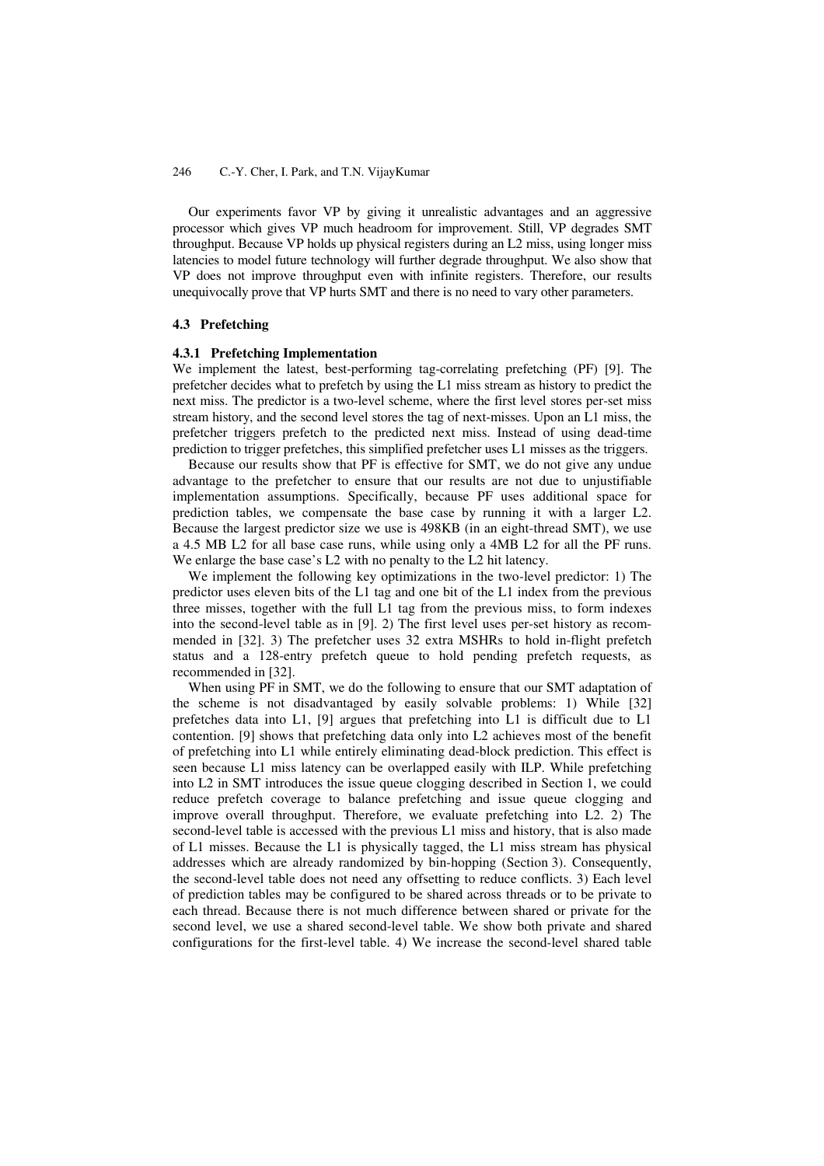Our experiments favor VP by giving it unrealistic advantages and an aggressive processor which gives VP much headroom for improvement. Still, VP degrades SMT throughput. Because VP holds up physical registers during an L2 miss, using longer miss latencies to model future technology will further degrade throughput. We also show that VP does not improve throughput even with infinite registers. Therefore, our results unequivocally prove that VP hurts SMT and there is no need to vary other parameters.

# **4.3 Prefetching**

#### **4.3.1 Prefetching Implementation**

We implement the latest, best-performing tag-correlating prefetching (PF) [9]. The prefetcher decides what to prefetch by using the L1 miss stream as history to predict the next miss. The predictor is a two-level scheme, where the first level stores per-set miss stream history, and the second level stores the tag of next-misses. Upon an L1 miss, the prefetcher triggers prefetch to the predicted next miss. Instead of using dead-time prediction to trigger prefetches, this simplified prefetcher uses L1 misses as the triggers.

Because our results show that PF is effective for SMT, we do not give any undue advantage to the prefetcher to ensure that our results are not due to unjustifiable implementation assumptions. Specifically, because PF uses additional space for prediction tables, we compensate the base case by running it with a larger L2. Because the largest predictor size we use is 498KB (in an eight-thread SMT), we use a 4.5 MB L2 for all base case runs, while using only a 4MB L2 for all the PF runs. We enlarge the base case's L2 with no penalty to the L2 hit latency.

We implement the following key optimizations in the two-level predictor: 1) The predictor uses eleven bits of the L1 tag and one bit of the L1 index from the previous three misses, together with the full L1 tag from the previous miss, to form indexes into the second-level table as in [9]. 2) The first level uses per-set history as recommended in [32]. 3) The prefetcher uses 32 extra MSHRs to hold in-flight prefetch status and a 128-entry prefetch queue to hold pending prefetch requests, as recommended in [32].

When using PF in SMT, we do the following to ensure that our SMT adaptation of the scheme is not disadvantaged by easily solvable problems: 1) While [32] prefetches data into L1, [9] argues that prefetching into L1 is difficult due to L1 contention. [9] shows that prefetching data only into L2 achieves most of the benefit of prefetching into L1 while entirely eliminating dead-block prediction. This effect is seen because L1 miss latency can be overlapped easily with ILP. While prefetching into L2 in SMT introduces the issue queue clogging described in Section 1, we could reduce prefetch coverage to balance prefetching and issue queue clogging and improve overall throughput. Therefore, we evaluate prefetching into L2. 2) The second-level table is accessed with the previous L1 miss and history, that is also made of L1 misses. Because the L1 is physically tagged, the L1 miss stream has physical addresses which are already randomized by bin-hopping (Section 3). Consequently, the second-level table does not need any offsetting to reduce conflicts. 3) Each level of prediction tables may be configured to be shared across threads or to be private to each thread. Because there is not much difference between shared or private for the second level, we use a shared second-level table. We show both private and shared configurations for the first-level table. 4) We increase the second-level shared table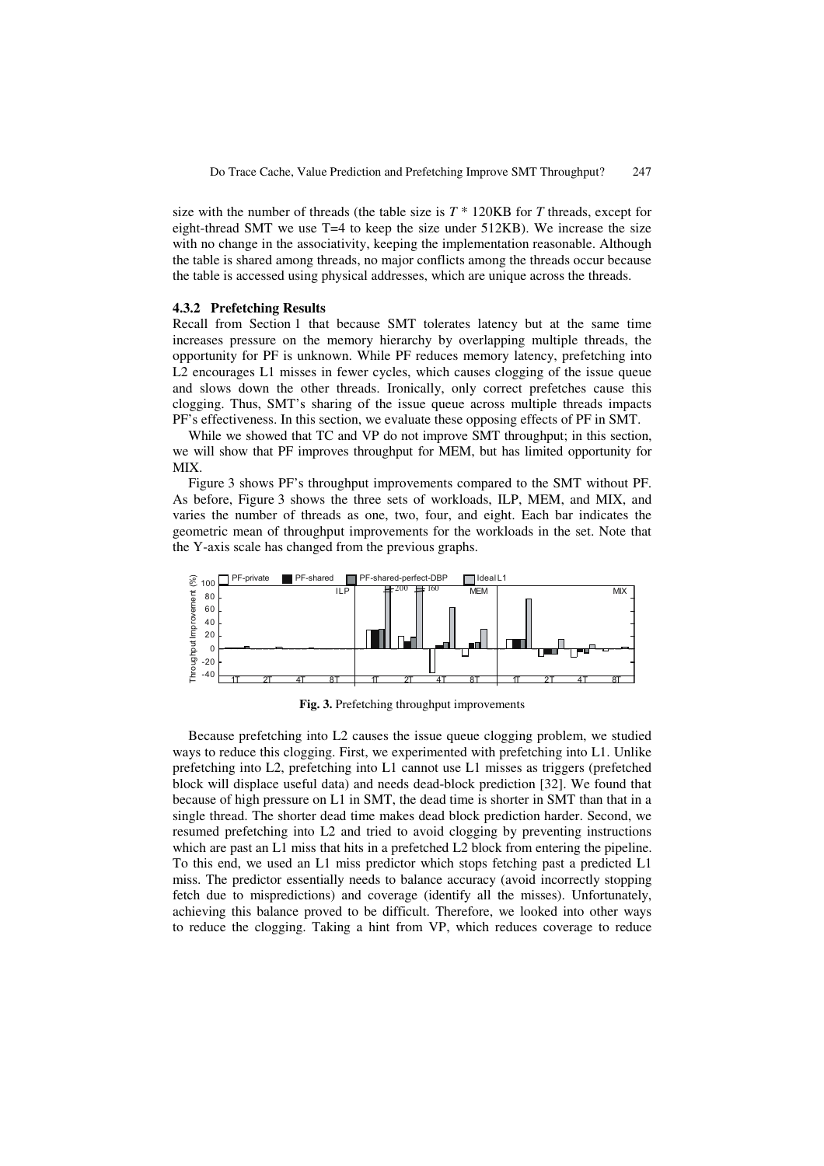size with the number of threads (the table size is  $T^*$  120KB for *T* threads, except for eight-thread SMT we use T=4 to keep the size under 512KB). We increase the size with no change in the associativity, keeping the implementation reasonable. Although the table is shared among threads, no major conflicts among the threads occur because the table is accessed using physical addresses, which are unique across the threads.

#### **4.3.2 Prefetching Results**

Recall from Section 1 that because SMT tolerates latency but at the same time increases pressure on the memory hierarchy by overlapping multiple threads, the opportunity for PF is unknown. While PF reduces memory latency, prefetching into L2 encourages L1 misses in fewer cycles, which causes clogging of the issue queue and slows down the other threads. Ironically, only correct prefetches cause this clogging. Thus, SMT's sharing of the issue queue across multiple threads impacts PF's effectiveness. In this section, we evaluate these opposing effects of PF in SMT.

While we showed that TC and VP do not improve SMT throughput; in this section, we will show that PF improves throughput for MEM, but has limited opportunity for MIX.

Figure 3 shows PF's throughput improvements compared to the SMT without PF. As before, Figure 3 shows the three sets of workloads, ILP, MEM, and MIX, and varies the number of threads as one, two, four, and eight. Each bar indicates the geometric mean of throughput improvements for the workloads in the set. Note that the Y-axis scale has changed from the previous graphs.



**Fig. 3.** Prefetching throughput improvements

Because prefetching into L2 causes the issue queue clogging problem, we studied ways to reduce this clogging. First, we experimented with prefetching into L1. Unlike prefetching into L2, prefetching into L1 cannot use L1 misses as triggers (prefetched block will displace useful data) and needs dead-block prediction [32]. We found that because of high pressure on L1 in SMT, the dead time is shorter in SMT than that in a single thread. The shorter dead time makes dead block prediction harder. Second, we resumed prefetching into L2 and tried to avoid clogging by preventing instructions which are past an L1 miss that hits in a prefetched L2 block from entering the pipeline. To this end, we used an L1 miss predictor which stops fetching past a predicted L1 miss. The predictor essentially needs to balance accuracy (avoid incorrectly stopping fetch due to mispredictions) and coverage (identify all the misses). Unfortunately, achieving this balance proved to be difficult. Therefore, we looked into other ways to reduce the clogging. Taking a hint from VP, which reduces coverage to reduce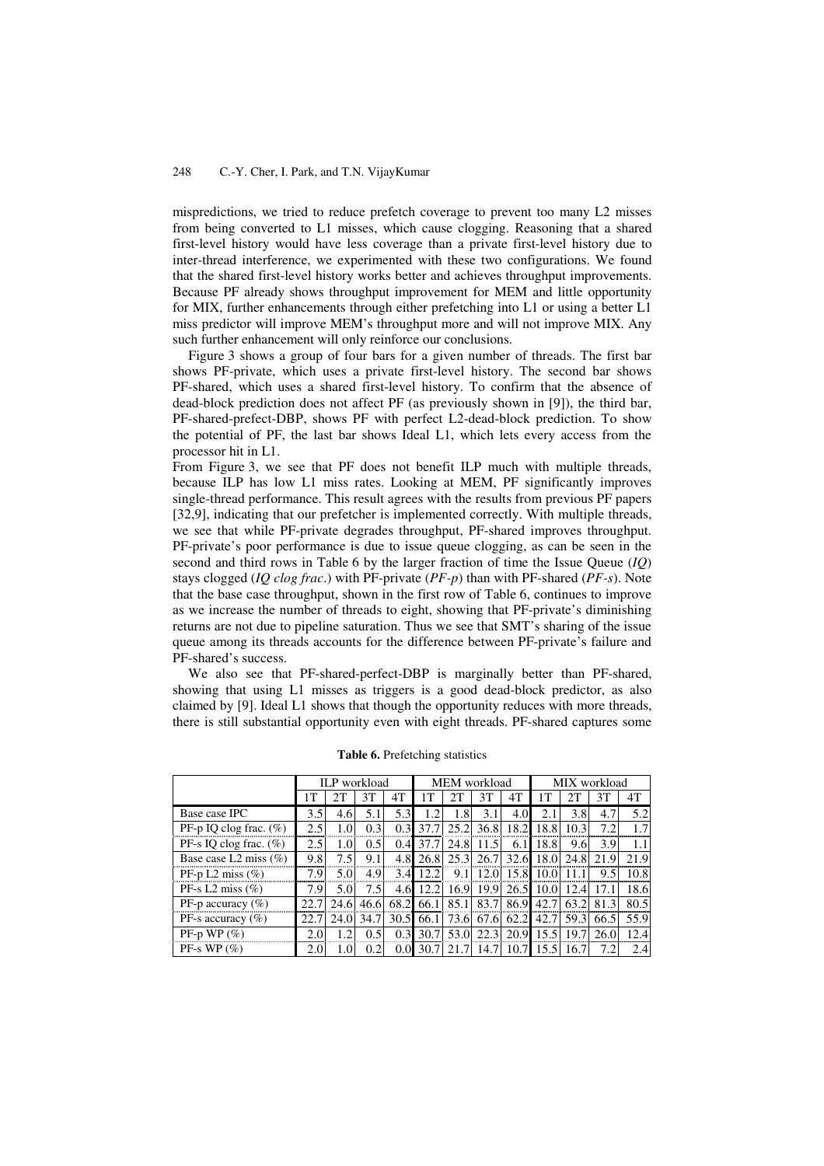mispredictions, we tried to reduce prefetch coverage to prevent too many L2 misses from being converted to L1 misses, which cause clogging. Reasoning that a shared first-level history would have less coverage than a private first-level history due to inter-thread interference, we experimented with these two configurations. We found that the shared first-level history works better and achieves throughput improvements. Because PF already shows throughput improvement for MEM and little opportunity for MIX, further enhancements through either prefetching into L1 or using a better L1 miss predictor will improve MEM's throughput more and will not improve MIX. Any such further enhancement will only reinforce our conclusions.

Figure 3 shows a group of four bars for a given number of threads. The first bar shows PF-private, which uses a private first-level history. The second bar shows PF-shared, which uses a shared first-level history. To confirm that the absence of dead-block prediction does not affect PF (as previously shown in [9]), the third bar, PF-shared-prefect-DBP, shows PF with perfect L2-dead-block prediction. To show the potential of PF, the last bar shows Ideal L1, which lets every access from the processor hit in L1.

From Figure 3, we see that PF does not benefit ILP much with multiple threads, because ILP has low L1 miss rates. Looking at MEM, PF significantly improves single-thread performance. This result agrees with the results from previous PF papers [32,9], indicating that our prefetcher is implemented correctly. With multiple threads, we see that while PF-private degrades throughput, PF-shared improves throughput. PF-private's poor performance is due to issue queue clogging, as can be seen in the second and third rows in Table 6 by the larger fraction of time the Issue Queue (*IQ*) stays clogged (*IQ clog frac*.) with PF-private (*PF-p*) than with PF-shared (*PF-s*). Note that the base case throughput, shown in the first row of Table 6, continues to improve as we increase the number of threads to eight, showing that PF-private's diminishing returns are not due to pipeline saturation. Thus we see that SMT's sharing of the issue queue among its threads accounts for the difference between PF-private's failure and PF-shared's success.

We also see that PF-shared-perfect-DBP is marginally better than PF-shared, showing that using L1 misses as triggers is a good dead-block predictor, as also claimed by [9]. Ideal L1 shows that though the opportunity reduces with more threads, there is still substantial opportunity even with eight threads. PF-shared captures some

|                           |      | ILP workload |      |      |             | MEM workload |                |      | MIX workload |      |      |      |
|---------------------------|------|--------------|------|------|-------------|--------------|----------------|------|--------------|------|------|------|
|                           | тT   |              | 37   | 4T   | TТ          | 2Τ           | 3Τ             | 4T   | 1 T          |      | 3Τ   | 4T   |
| Base case IPC             | 3.5  | 4.6          |      | 5.3  |             | 1.8          | 3.1            | 4.0  | 2.           | 3.8  | 4.7  | 5.2  |
| PF-p IQ clog frac. $(\%)$ | 2.5  |              | 0.3  | 0.3  | 37          | 25.2         | 36.8           | 18.2 | 18.8         | 10.3 | 72   |      |
| PF-s IQ clog frac. $(\%)$ | 2.5  | 1.0          | 0.5  | 0.41 | 37.7        | 24.8         | 11.5           | 6.1  | 18.8         | 9.6  | 3.9  | 1.1  |
| Base case L2 miss $(\%)$  | 9.8  | 7.5          | 9.1  |      | 4.8 26.8    | 25.3         | 26.7           | 32.6 | 18.0         | 24.8 |      | 21.9 |
| PF-p L2 miss $(\%)$       | 7.9  | 5.0          | 4.9  | 3.4  | 12.2.       | 9.1          | 12.0           | 15.8 | 10.0         |      | 9.5  | 10.8 |
| PF-s L2 miss $(\% )$      | 7.91 | 5.0          | 7.5  | 4.6I | 12.2        | 16.9         | 19.9           | 26.5 | 10.0         | 12.4 |      | 18.6 |
| PF-p accuracy $(\%)$      | 22.7 | 24.6         | 46.6 |      | 68.2 66.1   | 85.1         | 83.7           | 86.9 | 42.7         | 63.2 | 81.3 | 80.5 |
| PF-s accuracy $(\% )$     | 22.7 | 24.0         | 34.7 |      | $30.5$ 66.1 |              | 73.6 67.6 62.2 |      | 42.7         | 59.3 | 66.5 | 55.9 |
| PF-p WP $(\%)$            | 2.0  | 1.2.         | 0.5  |      | $0.3$ 30.7  |              | 53.0 22.3      | 20.9 | 15.5         | 19.7 | 26.0 | 12.4 |
| $PF-s WP(\%)$             | 2.0  | 1.0          | 0.2  |      | 0.0130.7    | 21.7         | 14.7           | 10.7 | 15.5         | 16.7 | 7.2  | 2.4  |

**Table 6.** Prefetching statistics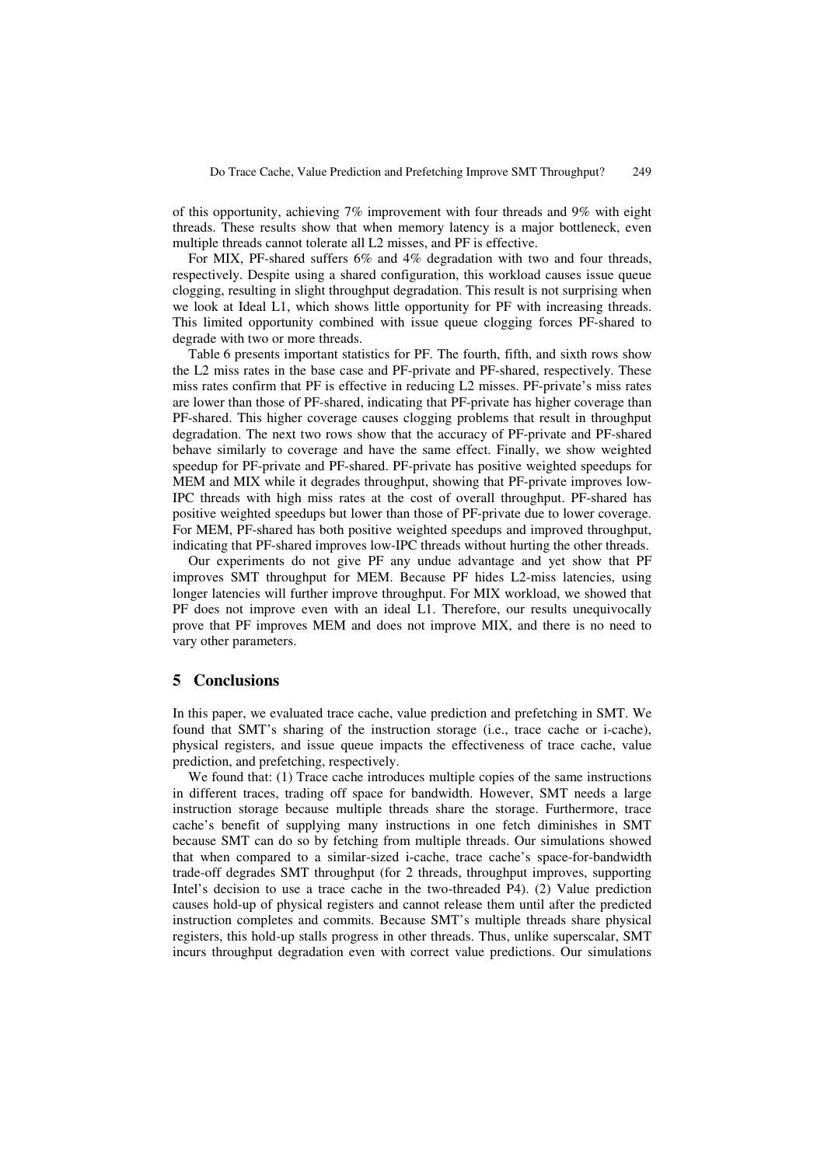of this opportunity, achieving 7% improvement with four threads and 9% with eight threads. These results show that when memory latency is a major bottleneck, even multiple threads cannot tolerate all L2 misses, and PF is effective.

For MIX, PF-shared suffers 6% and 4% degradation with two and four threads, respectively. Despite using a shared configuration, this workload causes issue queue clogging, resulting in slight throughput degradation. This result is not surprising when we look at Ideal L1, which shows little opportunity for PF with increasing threads. This limited opportunity combined with issue queue clogging forces PF-shared to degrade with two or more threads.

Table 6 presents important statistics for PF. The fourth, fifth, and sixth rows show the L2 miss rates in the base case and PF-private and PF-shared, respectively. These miss rates confirm that PF is effective in reducing L2 misses. PF-private's miss rates are lower than those of PF-shared, indicating that PF-private has higher coverage than PF-shared. This higher coverage causes clogging problems that result in throughput degradation. The next two rows show that the accuracy of PF-private and PF-shared behave similarly to coverage and have the same effect. Finally, we show weighted speedup for PF-private and PF-shared. PF-private has positive weighted speedups for MEM and MIX while it degrades throughput, showing that PF-private improves low-IPC threads with high miss rates at the cost of overall throughput. PF-shared has positive weighted speedups but lower than those of PF-private due to lower coverage. For MEM, PF-shared has both positive weighted speedups and improved throughput, indicating that PF-shared improves low-IPC threads without hurting the other threads.

Our experiments do not give PF any undue advantage and yet show that PF improves SMT throughput for MEM. Because PF hides L2-miss latencies, using longer latencies will further improve throughput. For MIX workload, we showed that PF does not improve even with an ideal L1. Therefore, our results unequivocally prove that PF improves MEM and does not improve MIX, and there is no need to vary other parameters.

# **5 Conclusions**

In this paper, we evaluated trace cache, value prediction and prefetching in SMT. We found that SMT's sharing of the instruction storage (i.e., trace cache or i-cache), physical registers, and issue queue impacts the effectiveness of trace cache, value prediction, and prefetching, respectively.

We found that: (1) Trace cache introduces multiple copies of the same instructions in different traces, trading off space for bandwidth. However, SMT needs a large instruction storage because multiple threads share the storage. Furthermore, trace cache's benefit of supplying many instructions in one fetch diminishes in SMT because SMT can do so by fetching from multiple threads. Our simulations showed that when compared to a similar-sized i-cache, trace cache's space-for-bandwidth trade-off degrades SMT throughput (for 2 threads, throughput improves, supporting Intel's decision to use a trace cache in the two-threaded P4). (2) Value prediction causes hold-up of physical registers and cannot release them until after the predicted instruction completes and commits. Because SMT's multiple threads share physical registers, this hold-up stalls progress in other threads. Thus, unlike superscalar, SMT incurs throughput degradation even with correct value predictions. Our simulations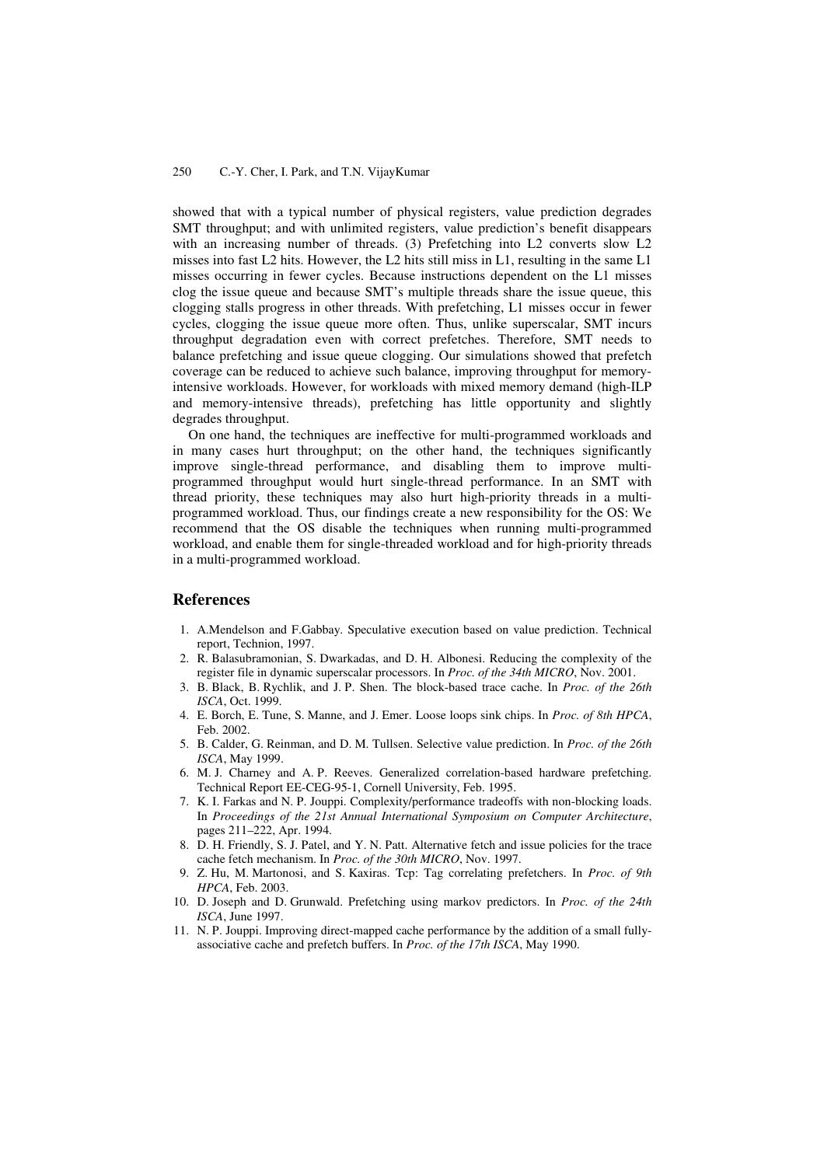showed that with a typical number of physical registers, value prediction degrades SMT throughput; and with unlimited registers, value prediction's benefit disappears with an increasing number of threads. (3) Prefetching into L2 converts slow L2 misses into fast L2 hits. However, the L2 hits still miss in L1, resulting in the same L1 misses occurring in fewer cycles. Because instructions dependent on the L1 misses clog the issue queue and because SMT's multiple threads share the issue queue, this clogging stalls progress in other threads. With prefetching, L1 misses occur in fewer cycles, clogging the issue queue more often. Thus, unlike superscalar, SMT incurs throughput degradation even with correct prefetches. Therefore, SMT needs to balance prefetching and issue queue clogging. Our simulations showed that prefetch coverage can be reduced to achieve such balance, improving throughput for memoryintensive workloads. However, for workloads with mixed memory demand (high-ILP and memory-intensive threads), prefetching has little opportunity and slightly degrades throughput.

On one hand, the techniques are ineffective for multi-programmed workloads and in many cases hurt throughput; on the other hand, the techniques significantly improve single-thread performance, and disabling them to improve multiprogrammed throughput would hurt single-thread performance. In an SMT with thread priority, these techniques may also hurt high-priority threads in a multiprogrammed workload. Thus, our findings create a new responsibility for the OS: We recommend that the OS disable the techniques when running multi-programmed workload, and enable them for single-threaded workload and for high-priority threads in a multi-programmed workload.

# **References**

- 1. A.Mendelson and F.Gabbay. Speculative execution based on value prediction. Technical report, Technion, 1997.
- 2. R. Balasubramonian, S. Dwarkadas, and D. H. Albonesi. Reducing the complexity of the register file in dynamic superscalar processors. In *Proc. of the 34th MICRO*, Nov. 2001.
- 3. B. Black, B. Rychlik, and J. P. Shen. The block-based trace cache. In *Proc. of the 26th ISCA*, Oct. 1999.
- 4. E. Borch, E. Tune, S. Manne, and J. Emer. Loose loops sink chips. In *Proc. of 8th HPCA*, Feb. 2002.
- 5. B. Calder, G. Reinman, and D. M. Tullsen. Selective value prediction. In *Proc. of the 26th ISCA*, May 1999.
- 6. M. J. Charney and A. P. Reeves. Generalized correlation-based hardware prefetching. Technical Report EE-CEG-95-1, Cornell University, Feb. 1995.
- 7. K. I. Farkas and N. P. Jouppi. Complexity/performance tradeoffs with non-blocking loads. In *Proceedings of the 21st Annual International Symposium on Computer Architecture*, pages 211–222, Apr. 1994.
- 8. D. H. Friendly, S. J. Patel, and Y. N. Patt. Alternative fetch and issue policies for the trace cache fetch mechanism. In *Proc. of the 30th MICRO*, Nov. 1997.
- 9. Z. Hu, M. Martonosi, and S. Kaxiras. Tcp: Tag correlating prefetchers. In *Proc. of 9th HPCA*, Feb. 2003.
- 10. D. Joseph and D. Grunwald. Prefetching using markov predictors. In *Proc. of the 24th ISCA*, June 1997.
- 11. N. P. Jouppi. Improving direct-mapped cache performance by the addition of a small fullyassociative cache and prefetch buffers. In *Proc. of the 17th ISCA*, May 1990.